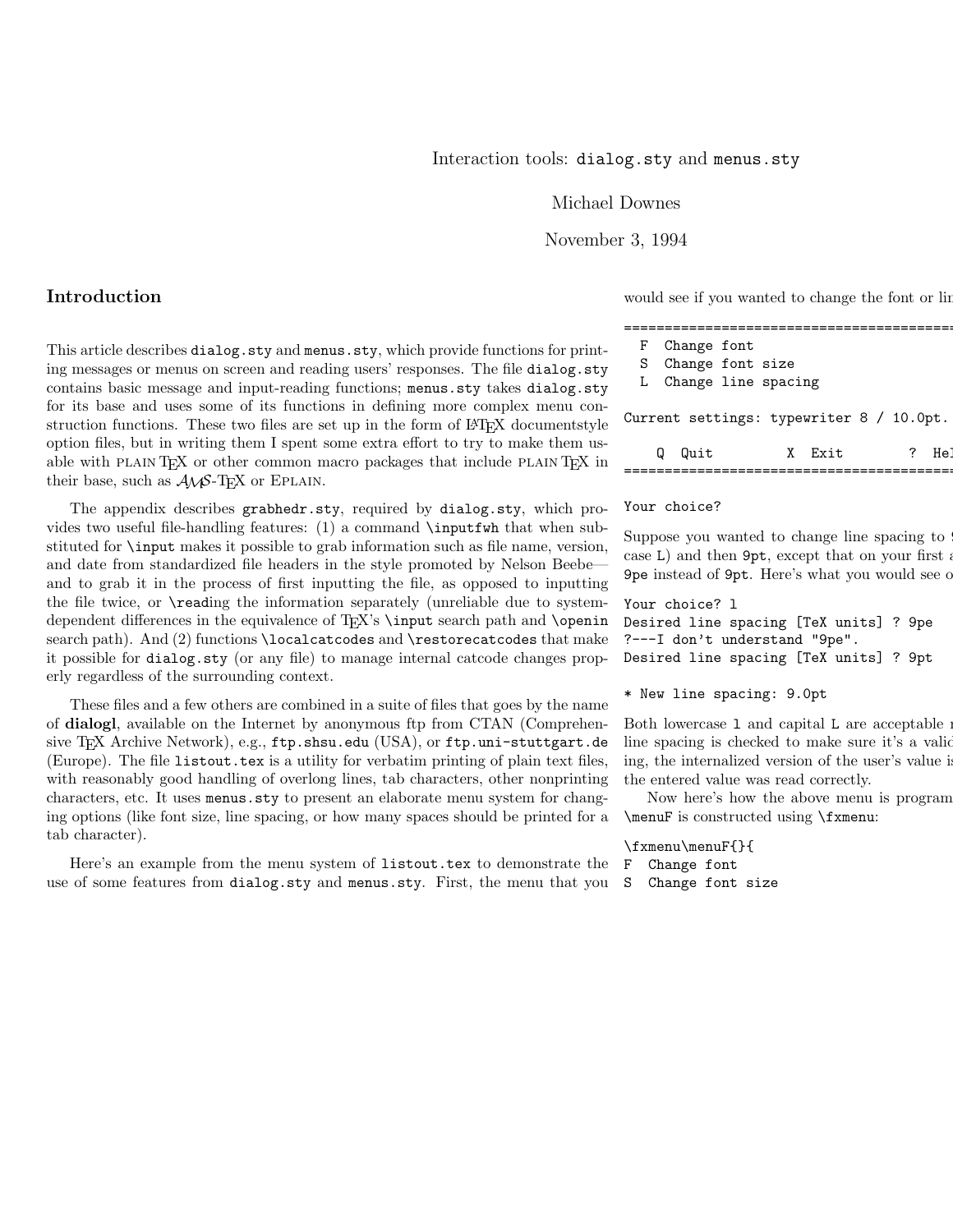Michael Downes

November 3, 1994

Introduction

This article describes dialog.sty and menus.sty, which provide functions for printing messages or menus on screen and reading users' responses. The file dialog.sty contains basic message and input-reading functions; menus.sty takes dialog.sty for its base and uses some of its functions in defining more complex menu construction functions. These two files are set up in the form of  $\mathbb{P}\mathrm{Tr}X$  documentstyle option files, but in writing them I spent some extra effort to try to make them usable with PLAIN TEX or other common macro packages that include PLAIN TEX in their base, such as  $A\mathcal{M}S$ -T<sub>F</sub>X or EPLAIN.

The appendix describes grabhedr.sty, required by dialog.sty, which provides two useful file-handling features: (1) a command \inputfwh that when substituted for \input makes it possible to grab information such as file name, version, and date from standardized file headers in the style promoted by Nelson Beebe and to grab it in the process of first inputting the file, as opposed to inputting the file twice, or \reading the information separately (unreliable due to systemdependent differences in the equivalence of TEX's \input search path and \openin search path). And (2) functions \localcatcodes and \restorecatcodes that make it possible for dialog.sty (or any file) to manage internal catcode changes properly regardless of the surrounding context.

These files and a few others are combined in a suite of files that goes by the name of dialogl, available on the Internet by anonymous ftp from CTAN (Comprehensive TEX Archive Network), e.g., ftp.shsu.edu (USA), or ftp.uni-stuttgart.de (Europe). The file listout.tex is a utility for verbatim printing of plain text files, with reasonably good handling of overlong lines, tab characters, other nonprinting characters, etc. It uses menus.sty to present an elaborate menu system for changing options (like font size, line spacing, or how many spaces should be printed for a tab character).

Here's an example from the menu system of listout.tex to demonstrate the use of some features from dialog.sty and menus.sty. First, the menu that you

would see if you wanted to change the font or line

| F Change font                            |      |  |
|------------------------------------------|------|--|
| S Change font size                       |      |  |
| L Change line spacing                    |      |  |
| Current settings: typewriter 8 / 10.0pt. |      |  |
| Quit                                     | Evit |  |

#### Your choice?

Suppose you wanted to change line spacing to case  $L$ ) and then  $9pt$ , except that on your first at 9pe instead of 9pt. Here's what you would see on

===============================================

Your choice? l Desired line spacing [TeX units] ? 9pe ?---I don't understand "9pe".

Desired line spacing [TeX units] ? 9pt

\* New line spacing: 9.0pt

Both lowercase 1 and capital L are acceptable : line spacing is checked to make sure it's a valid ing, the internalized version of the user's value is the entered value was read correctly.

Now here's how the above menu is program \menuF is constructed using \fxmenu:

\fxmenu\menuF{}{ F Change font S Change font size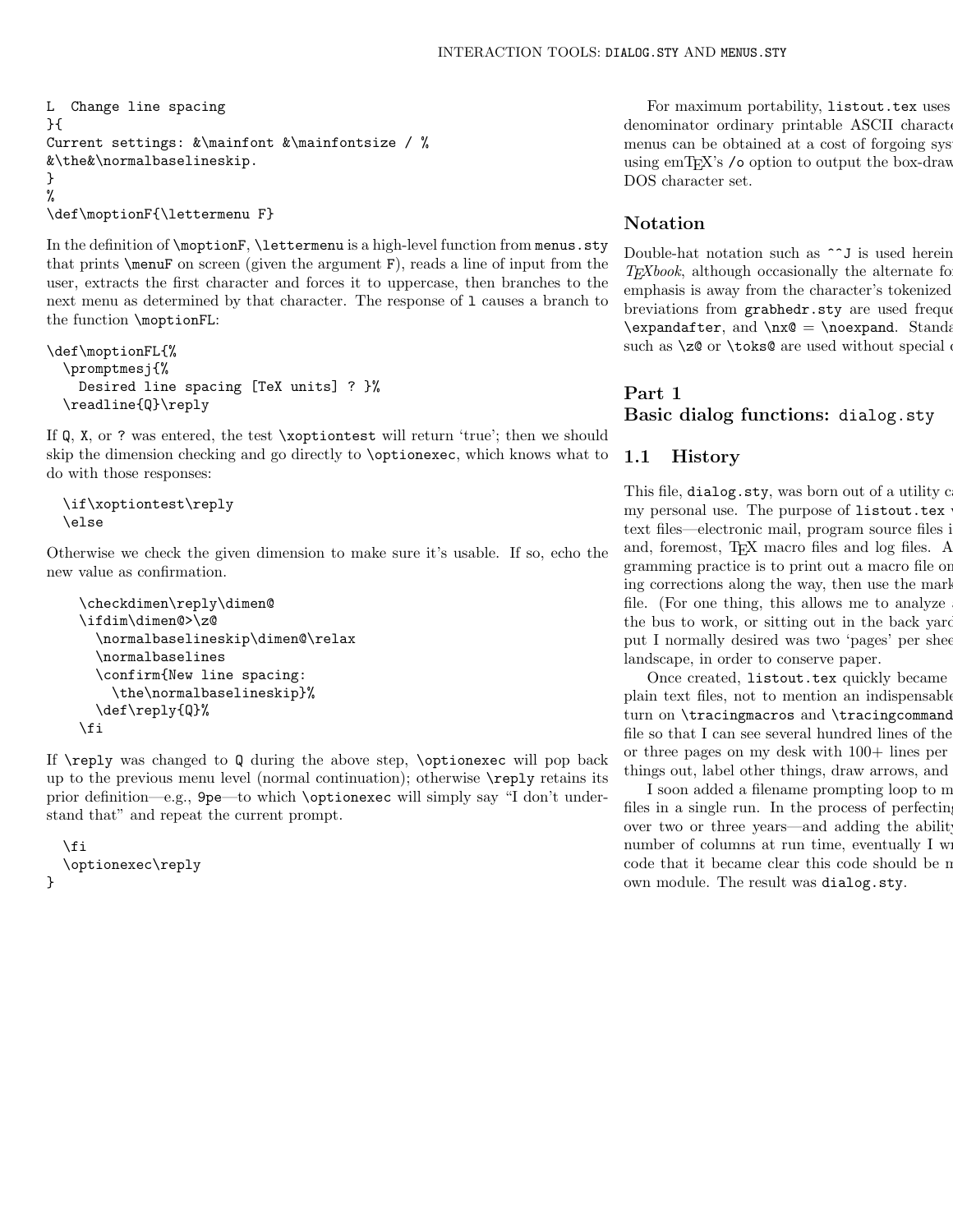```
L Change line spacing
}{
Current settings: &\mainfont &\mainfontsize / %
&\the&\normalbaselineskip.
}
%
\def\moptionF{\lettermenu F}
```
In the definition of \moptionF, \lettermenu is a high-level function from menus.sty that prints \menuF on screen (given the argument F), reads a line of input from the user, extracts the first character and forces it to uppercase, then branches to the next menu as determined by that character. The response of l causes a branch to the function \moptionFL:

```
\def\moptionFL{%
  \promptmesj{%
   Desired line spacing [TeX units] ? }%
  \readline{Q}\reply
```
If Q, X, or ? was entered, the test \xoptiontest will return 'true'; then we should skip the dimension checking and go directly to \optionexec, which knows what to do with those responses:

```
\if\xoptiontest\reply
\else
```
Otherwise we check the given dimension to make sure it's usable. If so, echo the new value as confirmation.

```
\checkdimen\reply\dimen@
\ifdim\dimen@>\z@
  \normalbaselineskip\dimen@\relax
  \normalbaselines
 \confirm{New line spacing:
    \the\normalbaselineskip}%
 \def\reply{Q}%
\fi
```
If  $\reply$  was changed to Q during the above step,  $\optionexec$  will pop back up to the previous menu level (normal continuation); otherwise \reply retains its prior definition—e.g., 9pe—to which \optionexec will simply say "I don't understand that" and repeat the current prompt.

```
\eta\optionexec\reply
}
```
For maximum portability, listout.tex uses denominator ordinary printable ASCII characters menus can be obtained at a cost of forgoing sys using emT<sub>E</sub>X's  $\prime$ o option to output the box-draw DOS character set.

# Notation

Double-hat notation such as  $\sim J$  is used herein  $T_{E}Xbook$ , although occasionally the alternate form  $T_{E}Xbook$ , emphasis is away from the character's tokenized breviations from grabhedr.sty are used frequently  $\exp\{t\$ , and  $\nx@ = \noexpand$ . Standard above planets from planets from planets from planets from planets from planets from planets from planets from planets from planets from planets from planets from planets from planets from such as  $\zeta \geq 0$  or  $\text{obs@}$  are used without special

## Part 1

Basic dialog functions: dialog.sty

# 1.1 History

This file, dialog.sty, was born out of a utility c my personal use. The purpose of listout.tex text files—electronic mail, program source files in and, foremost, TEX macro files and log files. A gramming practice is to print out a macro file or ing corrections along the way, then use the mark file. (For one thing, this allows me to analyze the bus to work, or sitting out in the back yard put I normally desired was two 'pages' per sheet landscape, in order to conserve paper.

Once created, listout.tex quickly became plain text files, not to mention an indispensable turn on \tracingmacros and \tracing command file so that I can see several hundred lines of the or three pages on my desk with  $100+$  lines per things out, label other things, draw arrows, and

I soon added a filename prompting loop to m files in a single run. In the process of perfecting over two or three years—and adding the ability number of columns at run time, eventually  $I$  w code that it became clear this code should be n own module. The result was dialog.sty.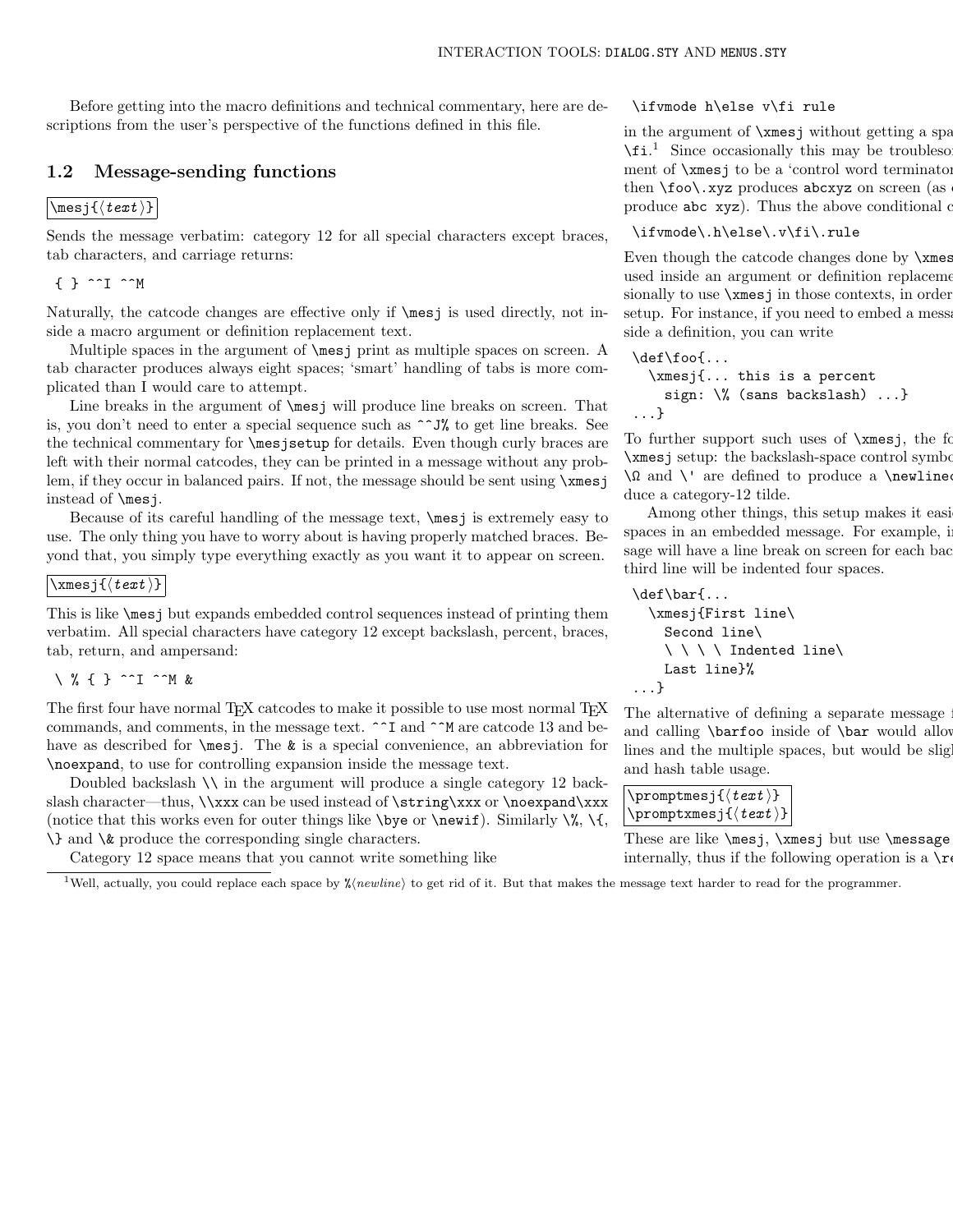Before getting into the macro definitions and technical commentary, here are descriptions from the user's perspective of the functions defined in this file.

# 1.2 Message-sending functions

## $\backslash$ mesj{ $\langle text \rangle$ }

Sends the message verbatim: category 12 for all special characters except braces, tab characters, and carriage returns:

 $\{ \}$  ^^I ^^M

Naturally, the catcode changes are effective only if \mesj is used directly, not inside a macro argument or definition replacement text.

Multiple spaces in the argument of \mesj print as multiple spaces on screen. A tab character produces always eight spaces; 'smart' handling of tabs is more complicated than I would care to attempt.

Line breaks in the argument of  $\mathcal{L}$  will produce line breaks on screen. That is, you don't need to enter a special sequence such as  $\sim$  J% to get line breaks. See the technical commentary for \mesjsetup for details. Even though curly braces are left with their normal catcodes, they can be printed in a message without any problem, if they occur in balanced pairs. If not, the message should be sent using \xmesj instead of \mesj.

Because of its careful handling of the message text, \mesj is extremely easy to use. The only thing you have to worry about is having properly matched braces. Beyond that, you simply type everything exactly as you want it to appear on screen.

## $\setminus$ xmesj{ $\langle text \rangle$ }

This is like \mesj but expands embedded control sequences instead of printing them verbatim. All special characters have category 12 except backslash, percent, braces, tab, return, and ampersand:

## \ % { } ^^I ^^M &

The first four have normal T<sub>E</sub>X catcodes to make it possible to use most normal T<sub>E</sub>X commands, and comments, in the message text. ^^I and ^^M are catcode 13 and behave as described for  $\mesj$ . The & is a special convenience, an abbreviation for \noexpand, to use for controlling expansion inside the message text.

Doubled backslash \\ in the argument will produce a single category 12 backslash character—thus, \\xxx can be used instead of \string\xxx or \noexpand\xxx (notice that this works even for outer things like  $\begin{bmatrix} \begin{array}{c} \Delta \end{array} \right)$ . Similarly  $\%$ ,  $\{\}$ , \} and \& produce the corresponding single characters.

Category 12 space means that you cannot write something like

#### \ifvmode h\else v\fi rule

in the argument of  $\times$  space is without getting a space and  $\times$  $\setminus$ fi.<sup>1</sup> Since occasionally this may be troublesome, ment of  $\times$ is is to be a 'control word terminator' then  $\to \text{vso}$ . xyz produces abcxyz on screen (as produce  $abc$  xyz). Thus the above conditional  $\alpha$ 

#### \ifvmode\.h\else\.v\fi\.rule

Even though the catcode changes done by  $\x$ mes used inside an argument or definition replacement sionally to use  $\x$  mesj in those contexts, in order setup. For instance, if you need to embed a mess side a definition, you can write

```
\def\foo{...
 \xmesj{... this is a percent
   sign: \% (sans backslash) ...}
...}
```
To further support such uses of  $\rm xmesi$ , the form  $\times$  j setup: the backslash-space control symbol  $\Omega$  and  $\Upsilon$  are defined to produce a \newlinequality duce a category-12 tilde.

Among other things, this setup makes it easi spaces in an embedded message. For example, in sage will have a line break on screen for each back third line will be indented four spaces.

```
\def\bar{...
 \xmesj{First line\
   Second line\
   \ \ \ \ Indented line\
   Last line}%
...}
```
The alternative of defining a separate message and calling  $\bar{oo}$  inside of  $\bar{to}$  mould allow lines and the multiple spaces, but would be slightly more expensive in string pool. and hash table usage.

```
\verb|\promptmesj{{<}test>}\text{premptxmesj}\{\langle text \rangle\}
```
These are like  $\mesj$ ,  $\rm assj$  but use  $\rm assage$ internally, thus if the following operation is a  $\mathcal{L}$ 

<sup>1</sup>Well, actually, you could replace each space by  $\frac{\gamma}{2}$ (*newline*) to get rid of it. But that makes the message text harder to read for the programmer.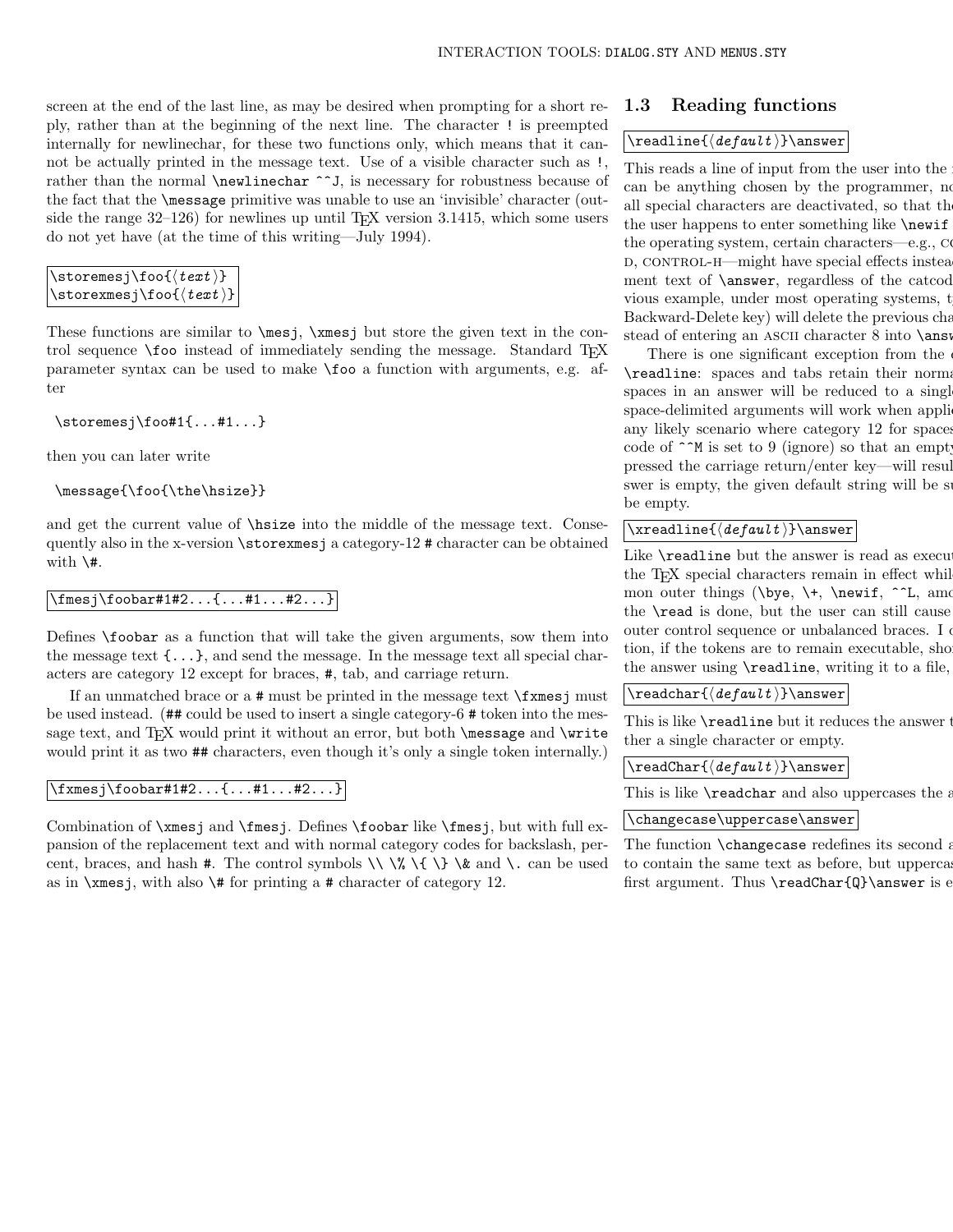screen at the end of the last line, as may be desired when prompting for a short reply, rather than at the beginning of the next line. The character ! is preempted internally for newlinechar, for these two functions only, which means that it cannot be actually printed in the message text. Use of a visible character such as !, rather than the normal **\newlinechar** ^^J, is necessary for robustness because of the fact that the \message primitive was unable to use an 'invisible' character (outside the range  $32-126$ ) for newlines up until T<sub>EX</sub> version 3.1415, which some users do not yet have (at the time of this writing—July 1994).

```
\setminusstoremesj\setminusfoo\setminus \{ \text{text } \}\setminusstorexmesj\setminusfoo\setminus \{ \textit{text } \}
```
These functions are similar to \mesj, \xmesj but store the given text in the control sequence \foo instead of immediately sending the message. Standard T<sub>E</sub>X parameter syntax can be used to make \foo a function with arguments, e.g. after

\storemesj\foo#1{...#1...}

then you can later write

```
\message{\foo{\the\hsize}}
```
and get the current value of \hsize into the middle of the message text. Consequently also in the x-version \storexmesj a category-12 # character can be obtained with  $\forall$ #.

\fmesj\foobar#1#2...{...#1...#2...}

Defines \foobar as a function that will take the given arguments, sow them into the message text  $\{\ldots\}$ , and send the message. In the message text all special characters are category 12 except for braces, #, tab, and carriage return.

If an unmatched brace or a # must be printed in the message text \fxmesj must be used instead. (## could be used to insert a single category-6 # token into the message text, and T<sub>EX</sub> would print it without an error, but both  $\{\text{message}$  and  $\text{Write}$ would print it as two  $\#$  characters, even though it's only a single token internally.)

\fxmesj\foobar#1#2...{...#1...#2...}

Combination of \xmesj and \fmesj. Defines \foobar like \fmesj, but with full expansion of the replacement text and with normal category codes for backslash, percent, braces, and hash #. The control symbols  $\setminus \mathcal{C} \setminus \setminus \mathcal{C}$  and  $\setminus$  can be used as in  $\times$  is, with also  $\#$  for printing a # character of category 12.

## 1.3 Reading functions

#### $\setminus \text{default}$  ) answer

This reads a line of input from the user into the can be anything chosen by the programmer, no all special characters are deactivated, so that  $\rm th$ the user happens to enter something like  $\neq$ the operating system, certain characters—e.g.,  $\alpha$ D, CONTROL-H—might have special effects instead ment text of  $\langle$ answer, regardless of the catcod vious example, under most operating systems, t Backward-Delete key) will delete the previous cha stead of entering an ASCII character 8 into \answer.

There is one significant exception from the \readline: spaces and tabs retain their normal spaces in an answer will be reduced to a single space-delimited arguments will work when appli any likely scenario where category 12 for spaces code of  $\hat{\ }$  M is set to 9 (ignore) so that an empty pressed the carriage return/enter key—will result swer is empty, the given default string will be s be empty.

## $\setminus \{default\}$  answer

Like  $\text{real}$  ine but the answer is read as executable to usual catcodes of usual catcodes of usual catcodes of usual catcodes of usual catcodes of usual catcodes of usual catcodes of usual catcodes of usual catcodes of us the T<sub>EX</sub> special characters remain in effect while mon outer things ( $\begin{cases} +, \text{newif}, \r L, \text{am} \end{cases}$ the **\read** is done, but the user can still cause outer control sequence or unbalanced braces. I only tion, if the tokens are to remain executable, sho the answer using **\readline**, writing it to a file,

 $\backslash$ readchar $\{\langle\mathit{default}\rangle\} \setminus$ answer

This is like  $\text{readline}$  but it reduces the answer  $\text{time}$ ther a single character or empty.

 $\text{\texttt{default}}$  answer

This is like  $\text{readchar}$  and also uppercases the answer.

#### \changecase\uppercase\answer

The function  $\lambda$ changecase redefines its second argument, which must be a material must be a material must be a material must be a material must be a material must be a material must be a material must be a material must to contain the same text as before, but upperca first argument. Thus  $\readChar{Q}\answer$  is  $e$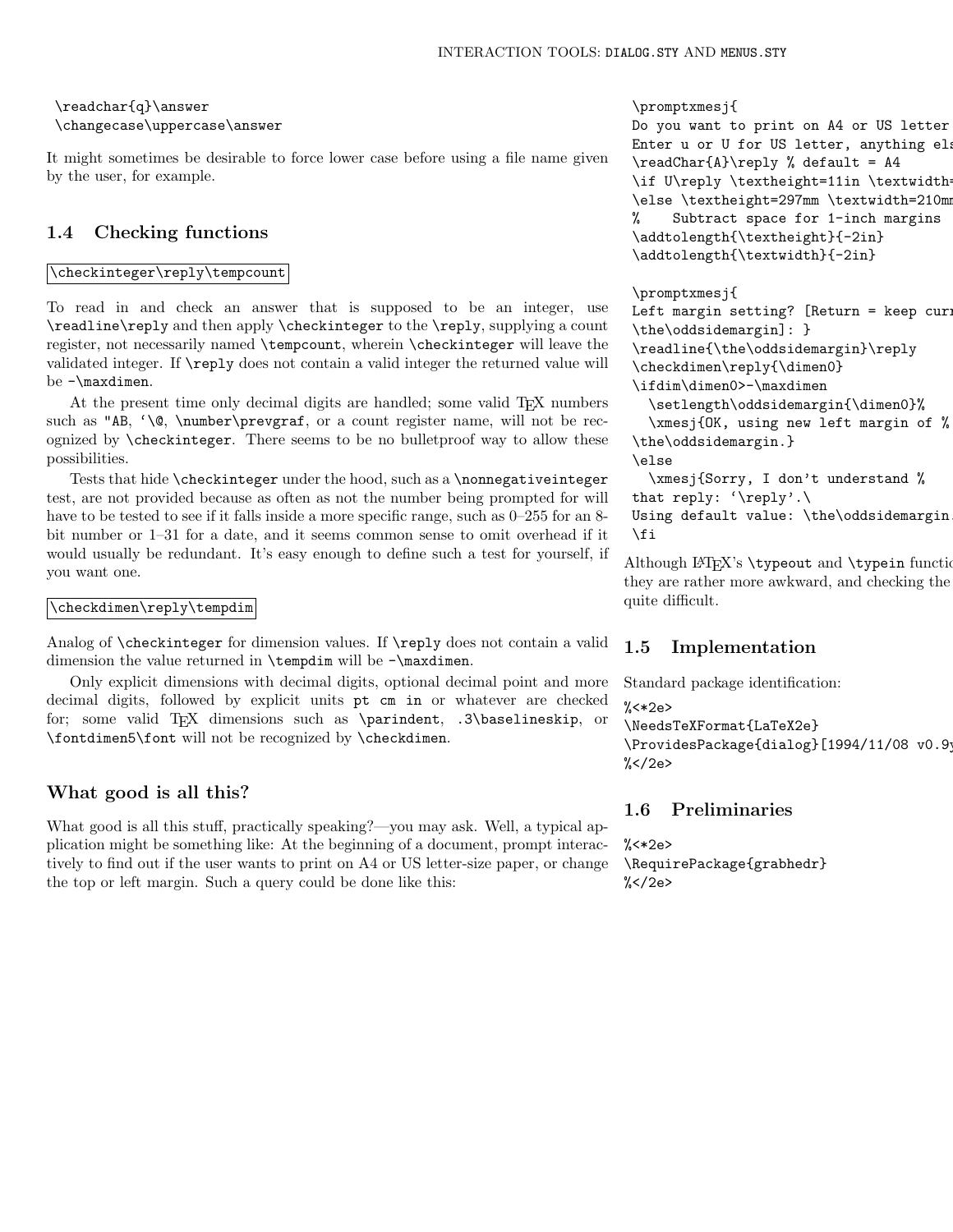# \readchar{q}\answer \changecase\uppercase\answer

It might sometimes be desirable to force lower case before using a file name given by the user, for example.

# 1.4 Checking functions

### \checkinteger\reply\tempcount

To read in and check an answer that is supposed to be an integer, use \readline\reply and then apply \checkinteger to the \reply, supplying a count register, not necessarily named \tempcount, wherein \checkinteger will leave the validated integer. If \reply does not contain a valid integer the returned value will be -\maxdimen.

At the present time only decimal digits are handled; some valid TEX numbers such as "AB, '\©, \number\prevgraf, or a count register name, will not be recognized by \checkinteger. There seems to be no bulletproof way to allow these possibilities.

Tests that hide \checkinteger under the hood, such as a \nonnegativeinteger test, are not provided because as often as not the number being prompted for will have to be tested to see if it falls inside a more specific range, such as  $0-255$  for an 8bit number or 1–31 for a date, and it seems common sense to omit overhead if it would usually be redundant. It's easy enough to define such a test for yourself, if you want one.

## \checkdimen\reply\tempdim

Analog of \checkinteger for dimension values. If \reply does not contain a valid dimension the value returned in \tempdim will be -\maxdimen.

Only explicit dimensions with decimal digits, optional decimal point and more decimal digits, followed by explicit units pt cm in or whatever are checked for; some valid T<sub>EX</sub> dimensions such as \parindent, .3\baselineskip, or \fontdimen5\font will not be recognized by \checkdimen.

## What good is all this?

What good is all this stuff, practically speaking?—you may ask. Well, a typical application might be something like: At the beginning of a document, prompt interactively to find out if the user wants to print on A4 or US letter-size paper, or change the top or left margin. Such a query could be done like this:

\promptxmesj{

```
Do you want to print on A4 or US letter
Enter u or U for US letter, anything ela
\readChar{A}\reply % default = A4
\if U\reply \textheight=11in \textwidth=
\else \textheight=297mm \textwidth=210mm
% Subtract space for 1-inch margins
\addtolength{\textheight}{-2in}
\addtolength{\textwidth}{-2in}
```
#### \promptxmesj{

```
Left margin setting? [Return = keep cur:
\the\oddsidemargin]: }
\readline{\the\oddsidemargin}\reply
\checkdimen\reply{\dimen0}
\ifdim\dimen0>-\maxdimen
  \setlength\oddsidemargin{\dimen0}%
  \xmesj{OK, using new left margin of %
\the\oddsidemargin.}
\else
  \xmesj{Sorry, I don't understand %
that reply: '\reply'.\
Using default value: \the\oddsidemargin.}
```

```
\fi
```
Although LATEX's \typeout and \typein functions they are rather more awkward, and checking the quite difficult.

# 1.5 Implementation

```
Standard package identification:
% <*2e\NeedsTeXFormat{LaTeX2e}
\ProvidesPackage{dialog}[1994/11/08 v0.9
\frac{\%}{\ } \frac{\%}{\ } \frac{\%}{\%}
```
## 1.6 Preliminaries

%<\*2e> \RequirePackage{grabhedr}  $\frac{\%}{\%}$  </2e>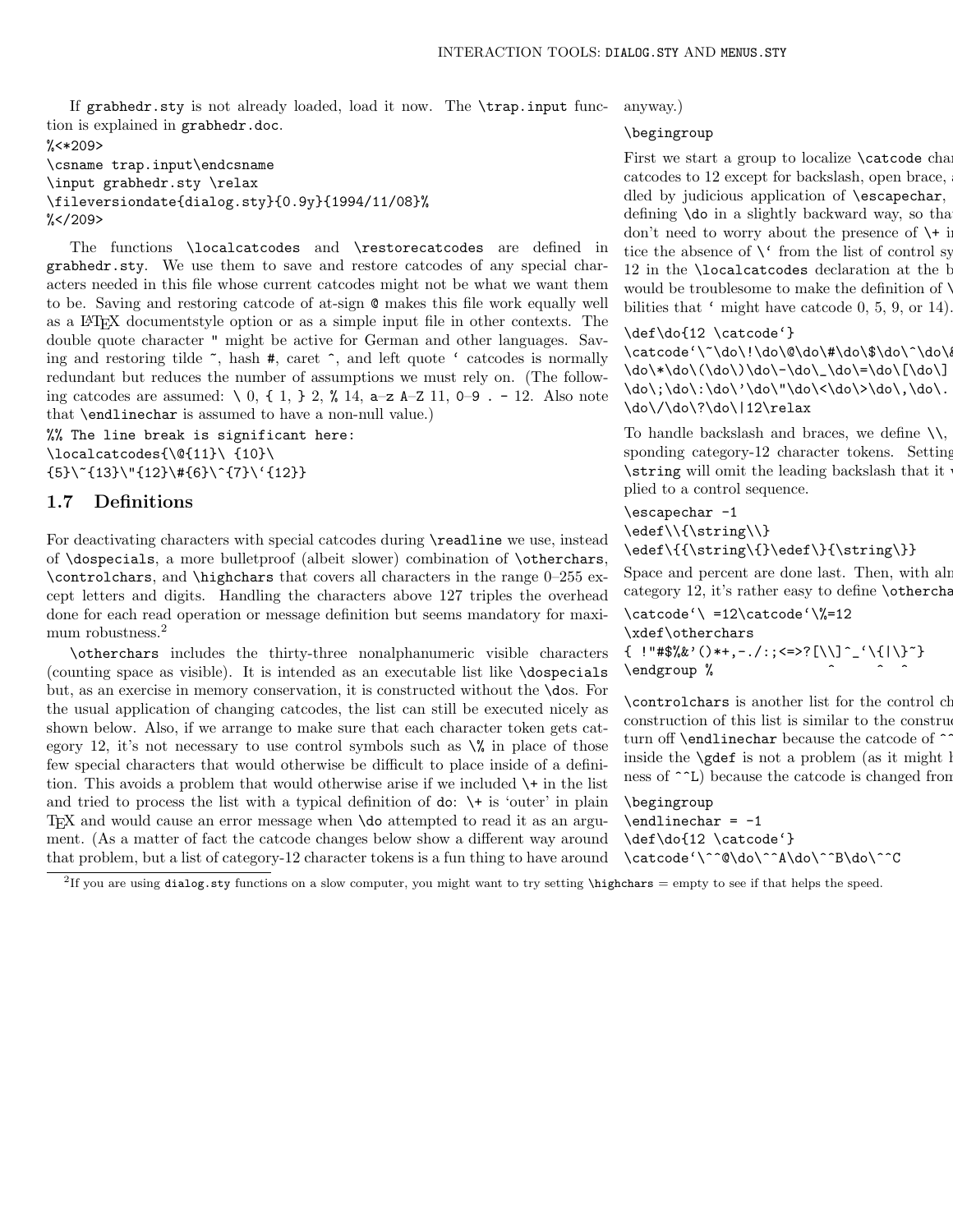If grabhedr.sty is not already loaded, load it now. The \trap.input function is explained in grabhedr.doc. %<\*209>

\csname trap.input\endcsname \input grabhedr.sty \relax \fileversiondate{dialog.sty}{0.9y}{1994/11/08}%  $\frac{2}{5}$  </209>

The functions \localcatcodes and \restorecatcodes are defined in grabhedr.sty. We use them to save and restore catcodes of any special characters needed in this file whose current catcodes might not be what we want them to be. Saving and restoring catcode of at-sign @ makes this file work equally well as a LATEX documentstyle option or as a simple input file in other contexts. The double quote character " might be active for German and other languages. Saving and restoring tilde  $\tilde{\phantom{a}}$ , hash #, caret  $\hat{\phantom{a}}$ , and left quote ' catcodes is normally redundant but reduces the number of assumptions we must rely on. (The following catcodes are assumed:  $\setminus 0$ ,  $\set{1}$ ,  $\geq$ ,  $\%$  14,  $a-z$  A–Z 11, 0–9. - 12. Also note that \endlinechar is assumed to have a non-null value.)

%% The line break is significant here: \localcatcodes{\@{11}\ {10}\  $\{5\}\$  {13}\" $\{12\}\$  # $\{6\}\$  {7}\' $\{12\}$ }

# 1.7 Definitions

For deactivating characters with special catcodes during \readline we use, instead of \dospecials, a more bulletproof (albeit slower) combination of \otherchars, \controlchars, and \highchars that covers all characters in the range 0–255 except letters and digits. Handling the characters above 127 triples the overhead done for each read operation or message definition but seems mandatory for maximum robustness.<sup>2</sup>

\otherchars includes the thirty-three nonalphanumeric visible characters (counting space as visible). It is intended as an executable list like \dospecials but, as an exercise in memory conservation, it is constructed without the \dos. For the usual application of changing catcodes, the list can still be executed nicely as shown below. Also, if we arrange to make sure that each character token gets category 12, it's not necessary to use control symbols such as  $\%$  in place of those few special characters that would otherwise be difficult to place inside of a definition. This avoids a problem that would otherwise arise if we included \+ in the list and tried to process the list with a typical definition of  $\phi$ :  $\rightarrow$  is 'outer' in plain TEX and would cause an error message when \do attempted to read it as an argument. (As a matter of fact the catcode changes below show a different way around that problem, but a list of category-12 character tokens is a fun thing to have around

anyway.)

#### \begingroup

First we start a group to localize  $\text{catcode}$  cha catcodes to 12 except for backslash, open brace, dled by judicious application of  $\text{c}$  and  $\text{d}$ defining  $\delta$  in a slightly backward way, so that don't need to worry about the presence of  $\$  + i tice the absence of  $\setminus$  from the list of control symbols; it was also to the use of  $\setminus$  from the list of control symbols; it was also to the use of  $\setminus$  from the list of control symbols; it was also to the use of  $\set$ 12 in the  $\Lambda$  declaration at the beginning of the this field. would be troublesome to make the definition of  $\ddot$ bilities that ' might have catcode 0, 5, 9, or 14).

#### \def\do{12 \catcode'}

\catcode'\~\do\!\do\@\do\#\do\\$\do\^\do\ \do\\*\do\(\do\)\do\-\do\\_\do\=\do\[\do\] \do\;\do\:\do\'\do\"\do\<\do\>\do\,\do\. \do\/\do\?\do\|12\relax

To handle backslash and braces, we define  $\setminus \setminus$ , sponding category-12 character tokens. Setting  $\text{string}$  will omit the leading backslash that it plied to a control sequence.

# \escapechar -1 \edef\\{\string\\}

\edef\{{\string\{}\edef\}{\string\}}

Space and percent are done last. Then, with alr category 12, it's rather easy to define **\otherchars** 

 $\catcode' \ = 12\catcode' \$ =12 \xdef\otherchars  $\{$  !"#\$%&'()\*+,-./:;<=>?[\\]^\_'\{|\}~} \endgroup %

\controlchars is another list for the control characters as construction of this list is similar to the construction turn off **\endlinechar** because the catcode of  $\sim$ inside the  $\qquad$ gdef is not a problem (as it might l ness of  $\sim$ L) because the catcode is changed from

\begingroup  $\end{Big}$  = -1 \def\do{12 \catcode'} \catcode'\^^@\do\^^A\do\^^B\do\^^C

<sup>2</sup>If you are using dialog.sty functions on a slow computer, you might want to try setting \highchars = empty to see if that helps the speed.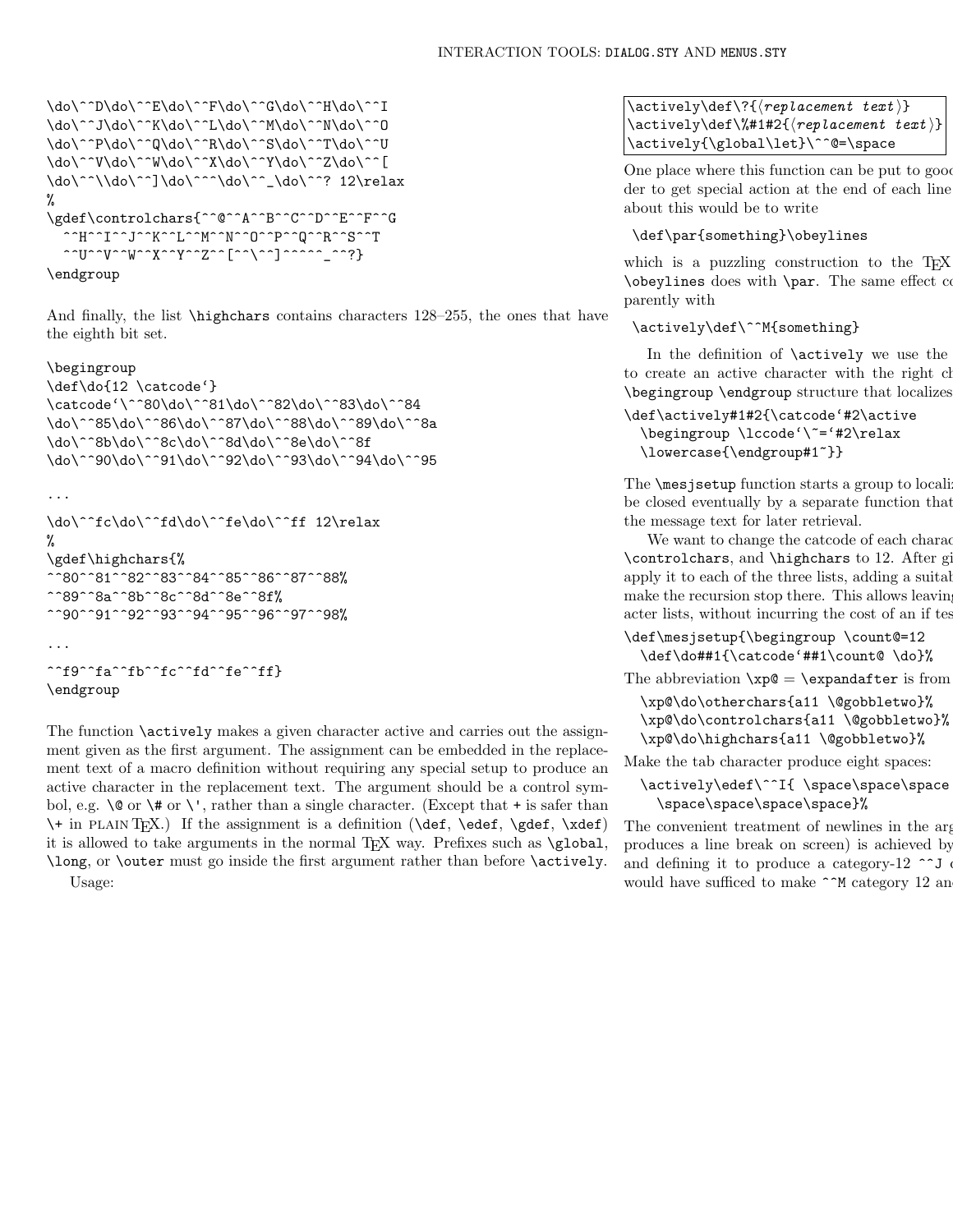```
\do\^^D\do\^^E\do\^^F\do\^^G\do\^^H\do\^^I
\do\^^J\do\^^K\do\^^L\do\^^M\do\^^N\do\^^O
\do\^^P\do\^^Q\do\^^R\do\^^S\do\^^T\do\^^U
\do\^^V\do\^^W\do\^^X\do\^^Y\do\^^Z\do\^^[
\do\^^\\do\^^]\do\^^^\do\^^_\do\^^? 12\relax
%
\gdef\controlchars{^^@^^A^^B^^C^^D^^E^^F^^G
  ^^H^^I^^J^^K^^L^^M^^N^^O^^P^^Q^^R^^S^^T
  ^^U^^V^^W^^X^^Y^^Z^^[^^\^^]^^^^^_^^?}
```
\endgroup

And finally, the list *\highchars* contains characters 128–255, the ones that have the eighth bit set.

#### \begingroup

```
\def\do{12 \catcode'}
\catcode'\^^80\do\^^81\do\^^82\do\^^83\do\^^84
\do\^^85\do\^^86\do\^^87\do\^^88\do\^^89\do\^^8a
\do\^^8b\do\^^8c\do\^^8d\do\^^8e\do\^^8f
\do\^^90\do\^^91\do\^^92\do\^^93\do\^^94\do\^^95
```

```
...
\do\^^fc\do\^^fd\do\^^fe\do\^^ff 12\relax
%
\gdef\highchars{%
^^80^^81^^82^^83^^84^^85^^86^^87^^88%
^^89^^8a^^8b^^8c^^8d^^8e^^8f%
^^90^^91^^92^^93^^94^^95^^96^^97^^98%
...
^^f9^^fa^^fb^^fc^^fd^^fe^^ff}
\endgroup
```
The function  $\setminus$  actively makes a given character active and carries out the assignment given as the first argument. The assignment can be embedded in the replacement text of a macro definition without requiring any special setup to produce an active character in the replacement text. The argument should be a control symbol, e.g.  $\Diamond$  or  $\Diamond$  or  $\Diamond$ , rather than a single character. (Except that + is safer than \+ in plain TEX.) If the assignment is a definition (\def, \edef, \gdef, \xdef) it is allowed to take arguments in the normal T<sub>EX</sub> way. Prefixes such as \global, \long, or \outer must go inside the first argument rather than before \actively. Usage:

 $\text{def}\$ ?{ $\verb|rep| \text{test}$ }  $\text{:\ } \text{def}\$  +1#2{ $\text{center } text$  i} \actively{\global\let}\^^@=\space

One place where this function can be put to good der to get special action at the end of each line about this would be to write

## \def\par{something}\obeylines

which is a puzzling construction to the  $T_F X$  $\boldsymbol{\theta}$  does with  $\\$ r. The same effect could be gotten a little more transparently with

# \actively\def\^^M{something}

In the definition of  $\actively$  we use the to create an active character with the right character code, over \begingroup \endgroup structure that localizes

```
\def\actively#1#2{\catcode'#2\active
  \begingroup \lccode'\~='#2\relax
 \lowercase{\endgroup#1~}}
```
The **\mesjsetup** function starts a group to localize changes. The group will can be closed eventually by a separate function that the message text for later retrieval.

We want to change the catcode of each character in the three lists  $\mathbf{v}$  $\controlchars$ , and  $\hbarghchars$  to 12. After given apply it to each of the three lists, adding a suitable element at the end of the three lists, adding a suitable make the recursion stop there. This allows leaving acter lists, without incurring the cost of an if tes

```
\def\mesjsetup{\begingroup \count@=12
  \def\do##1{\catcode'##1\count@ \do}%
```
The abbreviation  $\xp@ = \exp\{\arctan x\}$  is from

\xp@\do\otherchars{a11 \@gobbletwo}% \xp@\do\controlchars{a11 \@gobbletwo}% \xp@\do\highchars{a11 \@gobbletwo}%

Make the tab character produce eight spaces:

```
\actively\edef\^^I{ \space\space\space
  \space\space\space\space}%
```
The convenient treatment of newlines in the argument of  $\mathbf{E}$ produces a line break on screen) is achieved by and defining it to produce a category-12 ^^J  $\cdot$ would have sufficed to make  $\sim$ M category 12 and locally set  $\sim$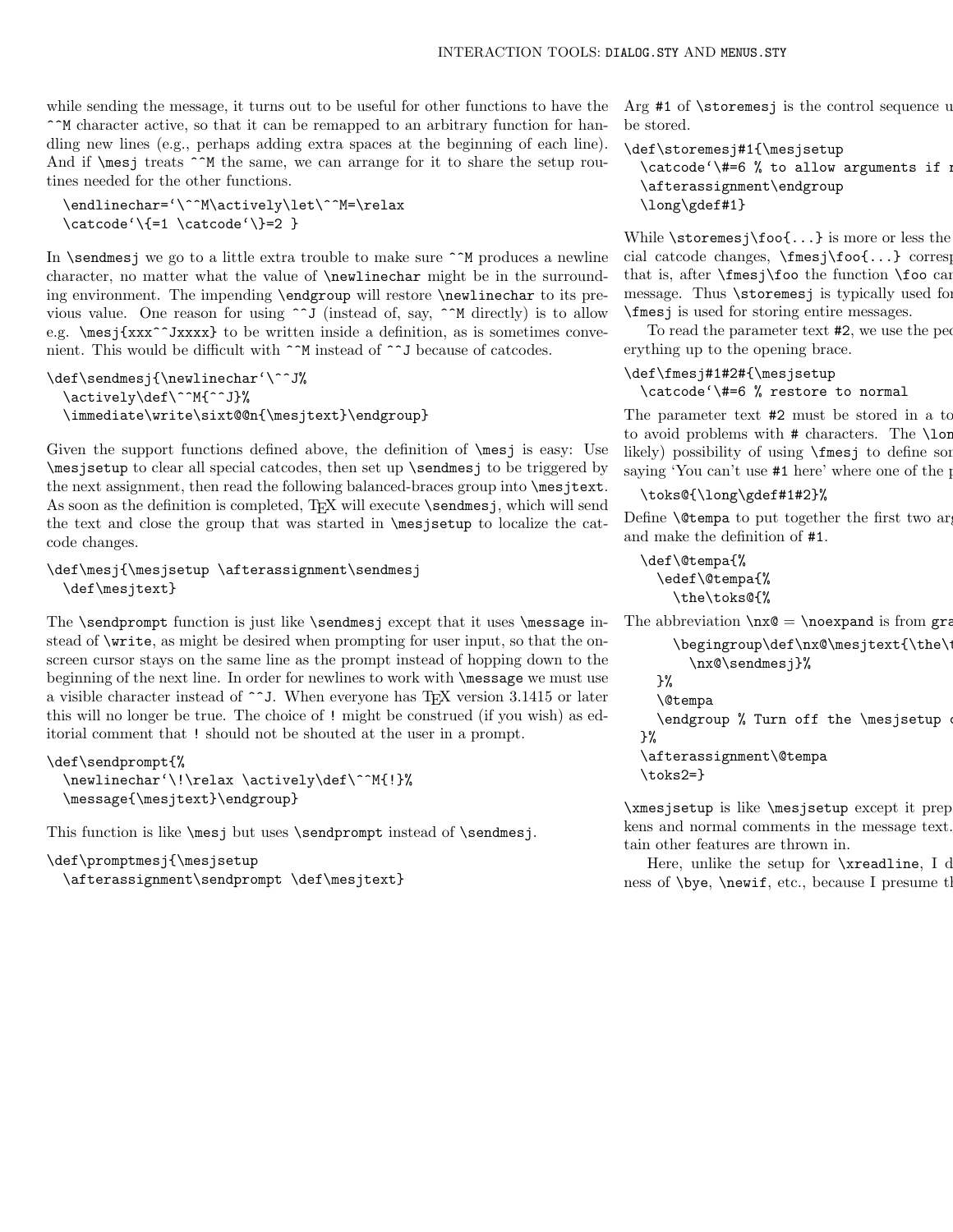while sending the message, it turns out to be useful for other functions to have the ^^M character active, so that it can be remapped to an arbitrary function for handling new lines (e.g., perhaps adding extra spaces at the beginning of each line). And if **\mesj** treats ^^M the same, we can arrange for it to share the setup routines needed for the other functions.

\endlinechar='\^^M\actively\let\^^M=\relax \catcode'\{=1 \catcode'\}=2 }

In  $\setminus$  sendmesj we go to a little extra trouble to make sure  $\hat{\ }$ M produces a newline character, no matter what the value of \newlinechar might be in the surrounding environment. The impending \endgroup will restore \newlinechar to its previous value. One reason for using  $\sim$  J (instead of, say,  $\sim$ M directly) is to allow e.g.  $\text{xxxx}$  to be written inside a definition, as is sometimes convenient. This would be difficult with ^^M instead of ^^J because of catcodes.

```
\def\sendmesj{\newlinechar'\^^J%
  \actively\def\^^M{^^J}%
  \immediate\write\sixt@@n{\mesjtext}\endgroup}
```
Given the support functions defined above, the definition of  $\mathcal{E}$  is easy: Use \mesjsetup to clear all special catcodes, then set up \sendmesj to be triggered by the next assignment, then read the following balanced-braces group into \mesjtext. As soon as the definition is completed, TEX will execute \sendmesj, which will send the text and close the group that was started in \mesjsetup to localize the catcode changes.

```
\def\mesj{\mesjsetup \afterassignment\sendmesj
  \def\mesjtext}
```
The \sendprompt function is just like \sendmesj except that it uses \message instead of \write, as might be desired when prompting for user input, so that the onscreen cursor stays on the same line as the prompt instead of hopping down to the beginning of the next line. In order for newlines to work with \message we must use a visible character instead of  $\sim$ J. When everyone has TEX version 3.1415 or later this will no longer be true. The choice of ! might be construed (if you wish) as editorial comment that ! should not be shouted at the user in a prompt.

```
\def\sendprompt{%
  \newlinechar'\!\relax \actively\def\^^M{!}%
  \message{\mesjtext}\endgroup}
```
This function is like \mesj but uses \sendprompt instead of \sendmesj.

```
\def\promptmesj{\mesjsetup
  \afterassignment\sendprompt \def\mesjtext}
```
Arg #1 of  $\st{oremesj}$  is the control sequence u be stored.

```
\def\storemesj#1{\mesjsetup
  \text{Catcode'} +=6 % to allow arguments if needed
  \afterassignment\endgroup
  \long\gdef#1}
```
While  $\scriptsize{\textsf{sof...}}$  is more or less the cial catcode changes,  $\frac{\frac{\cdot}{\cdot} \cdot \cdot}{\cdot}$  corresponds to  $\cdot \cdot \cdot$ that is, after  $\frac{\text{fnes}}{\text{fos}}$  too the function  $\text{foo}$  can message. Thus  $\sterling$  storemes is typically used for \fmesj is used for storing entire messages.

To read the parameter text  $#2$ , we use the peculiar  $#2$ erything up to the opening brace.

## \def\fmesj#1#2#{\mesjsetup \catcode'\#=6 % restore to normal

The parameter text #2 must be stored in a to to avoid problems with  $#$  characters. The  $\iota$ lor likely) possibility of using \fmesj to define some saying 'You can't use  $#1$  here' where one of the possibilities is approximated for  $#1$ 

#### \toks@{\long\gdef#1#2}%

Define  $\text{Open}$  to put together the first two arguments and make the definition of #1.

```
\def\@tempa{%
 \edef\@tempa{%
    \the\toks@{%
```
 $\gamma$ 

The abbreviation  $\n\cdot \log = \n\cdot \log \in \mathbb{R}$ 

```
\begin{array}{\text{begin}} \text{array} \end{array}\nx@\sendmesj}%
}%
\@tempa
\endgroup % Turn off the \mesjsetup
```

```
\afterassignment\@tempa
\toks2=}
```
 $\times$  is like  $\text{sesup}$  except it prep kens and normal comments in the message text. tain other features are thrown in.

Here, unlike the setup for  $\x$ readline, I d ness of  $\begin{cases} \newcommand{\t}{\mathbf{\bar{c}}}, \newcommand{\t}{\mathbf{\bar{c}}}, \newcommand{\t}{\mathbf{\bar{c}}}, \newcommand{\t}{\mathbf{\bar{c}}}, \newcommand{\t}{\mathbf{\bar{c}}}\nightharpoonup \newcommand{\t}{\mathbf{\bar{c}}}. \end{cases}$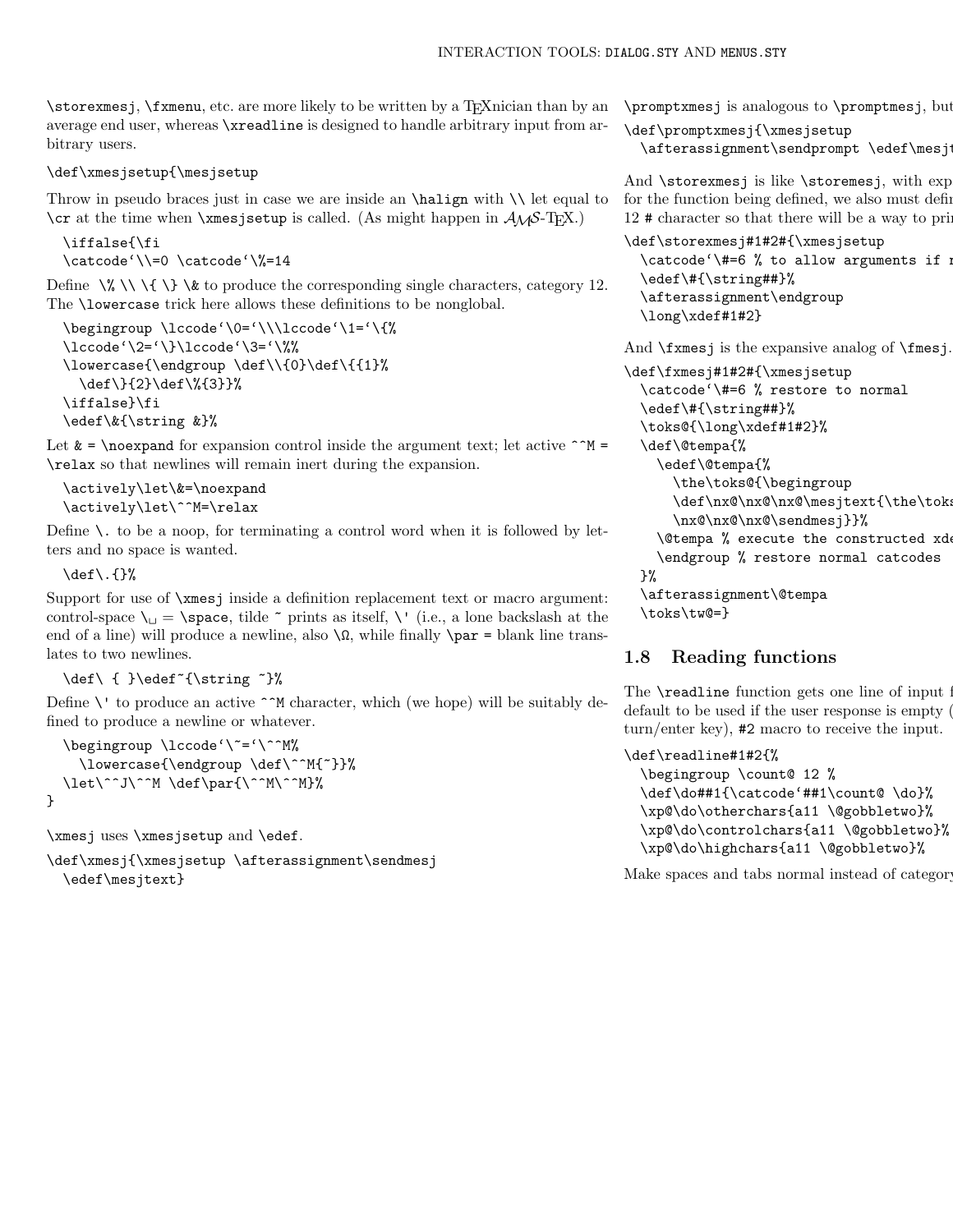\storexmesj, \fxmenu, etc. are more likely to be written by a T<sub>E</sub>Xnician than by an average end user, whereas \xreadline is designed to handle arbitrary input from arbitrary users.

## \def\xmesjsetup{\mesjsetup

Throw in pseudo braces just in case we are inside an \halign with \\ let equal to  $\c{c}$  at the time when  $\times$  setup is called. (As might happen in  $A_{\mathcal{M}}$ S-TFX.)

```
\iffalse{\fi
\catcode'\\=0 \catcode'\%=14
```
Define \% \\ \{ \} \& to produce the corresponding single characters, category 12. The **\lowercase** trick here allows these definitions to be nonglobal.

```
\begingroup \lccode'\0='\\\lccode'\1='\{%
\lccode'\2='\}\lccode'\3='\%%
\lowercase{\endgroup \def\\{0}\def\{{1}%
  \def\}{2}\def\%{3}}%
\iffalse}\fi
\edef\&{\string &}%
```
Let  $\& = \n\cdot \text{noexpand}$  for expansion control inside the argument text; let active  $\uparrow \text{M} =$ \relax so that newlines will remain inert during the expansion.

```
\actively\let\&=\noexpand
\actively\let\^^M=\relax
```
Define  $\setminus$  to be a noop, for terminating a control word when it is followed by letters and no space is wanted.

\def\.{}%

Support for use of \xmesj inside a definition replacement text or macro argument: control-space  $\iota$  = \space, tilde  $\tilde{\ }$  prints as itself, \' (i.e., a lone backslash at the end of a line) will produce a newline, also  $\Omega$ , while finally  $\parbox{90pt}{\text{par}} = \text{blank line}$ lates to two newlines.

## \def\ { }\edef~{\string ~}%

Define  $\setminus$  to produce an active  $\hat{\ }$ M character, which (we hope) will be suitably defined to produce a newline or whatever.

```
\begingroup \lccode'\~='\^^M%
    \lowercase{\endgroup \def\^^M{~}}%
  \let\^^J\^^M \def\par{\^^M\^^M}%
}
```
\xmesj uses \xmesjsetup and \edef.

\def\xmesj{\xmesjsetup \afterassignment\sendmesj \edef\mesjtext}

 $\preceq$  \promptxmesj is analogous to  $\preceq$ .

```
\def\promptxmesj{\xmesjsetup
  \afterassignment\sendprompt \edef\mesj
```
And **\storexmesj** is like **\storemesj**, with exp for the function being defined, we also must define  $12 \#$  character so that there will be a way to print

```
\def\storexmesj#1#2#{\xmesjsetup
  \catcode{'\#=6 % to allow arguments if n}\edef\#{\string##}%
  \afterassignment\endgroup
  \long\xdef#1#2}
```
And \fxmesj is the expansive analog of \fmesj.

```
\def\fxmesj#1#2#{\xmesjsetup
  \catcode'\#=6 % restore to normal
  \edef\#{\string##}%
  \toks@{\long\xdef#1#2}%
  \def\@tempa{%
    \edef\@tempa{%
      \the\toks@{\begingroup
      \def\nx@\nx@\nx@\mesjtext{\the\tok
      \nx@\nx@\nx@\sendmesj}}%
    \@tempa % execute the constructed xd
    \endgroup % restore normal catcodes
 }%
  \afterassignment\@tempa
  \toks\tw@=}
```
# 1.8 Reading functions

The  $\texttt{readline}$  function gets one line of input  $\mathbb I$ default to be used if the user response is empty ( turn/enter key), #2 macro to receive the input.

```
\def\readline#1#2{%
  \begingroup \count@ 12 %
  \def\do##1{\catcode'##1\count@ \do}%
  \xp@\do\otherchars{a11 \@gobbletwo}%
  \xp@\do\controlchars{a11 \@gobbletwo}%
  \xp@\do\highchars{a11 \@gobbletwo}%
```
Make spaces and tabs normal instead of category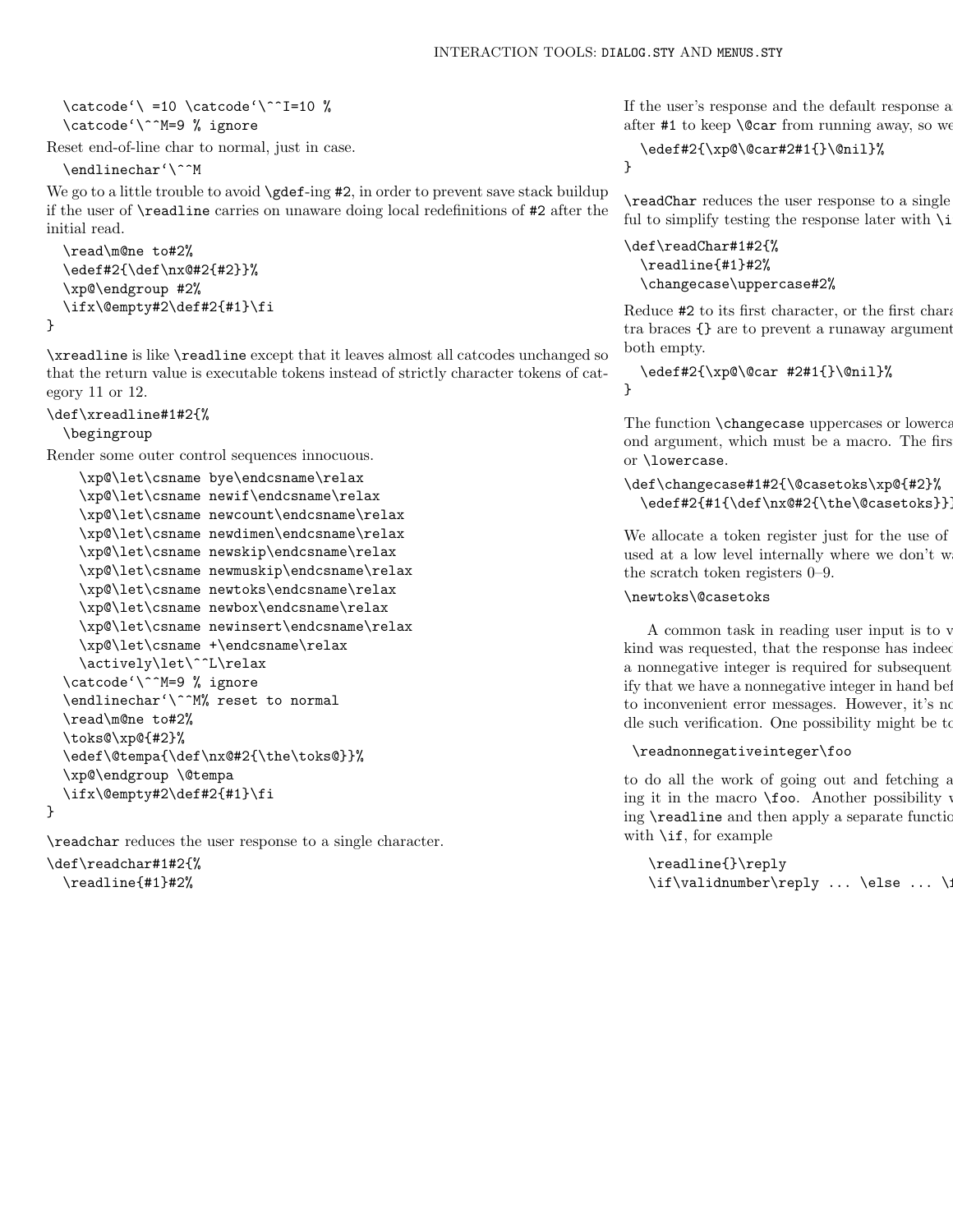```
\text{Catcode'} = 10 \text{catcode'}^T=10 %\catcode'\^^M=9 % ignore
```
Reset end-of-line char to normal, just in case.

\endlinechar'\^^M

We go to a little trouble to avoid **\gdef-ing #2**, in order to prevent save stack buildup if the user of \readline carries on unaware doing local redefinitions of #2 after the initial read.

```
\read\m@ne to#2%
\edef#2{\def\nx@#2{#2}}%
\xp@\endgroup #2%
\ifx\@empty#2\def#2{#1}\fi
```
\xreadline is like \readline except that it leaves almost all catcodes unchanged so that the return value is executable tokens instead of strictly character tokens of category 11 or 12.

```
\def\xreadline#1#2{%
  \begingroup
```
}

Render some outer control sequences innocuous.

```
\xp@\let\csname bye\endcsname\relax
  \xp@\let\csname newif\endcsname\relax
  \xp@\let\csname newcount\endcsname\relax
  \xp@\let\csname newdimen\endcsname\relax
  \xp@\let\csname newskip\endcsname\relax
  \xp@\let\csname newmuskip\endcsname\relax
  \xp@\let\csname newtoks\endcsname\relax
  \xp@\let\csname newbox\endcsname\relax
  \xp@\let\csname newinsert\endcsname\relax
  \xp@\let\csname +\endcsname\relax
  \actively\let\^^L\relax
\catcode'\^^M=9 % ignore
\endlinechar'\^^M% reset to normal
\read\m@ne to#2%
\toks@\xp@{#2}%
\edef\@tempa{\def\nx@#2{\the\toks@}}%
\xp@\endgroup \@tempa
\ifx\@empty#2\def#2{#1}\fi
```
\readchar reduces the user response to a single character.

```
\def\readchar#1#2{%
  \readline{#1}#2%
```
}

If the user's response and the default response are after  $#1$  to keep **\@car** from running away, so we

## \edef#2{\xp@\@car#2#1{}\@nil}%

}

 $\text{TeadChar}$  reduces the user response to a single ful to simplify testing the response later with  $\iota$ 

\def\readChar#1#2{% \readline{#1}#2% \changecase\uppercase#2%

Reduce #2 to its first character, or the first character tra braces  $\{\}$  are to prevent a runaway argument both empty.

```
\edef#2{\xp@\@car #2#1{}\@nil}%
}
```
The function  $\lambda$ changecase uppercases or lowercases ond argument, which must be a macro. The first or \lowercase.

```
\def\changecase#1#2{\@casetoks\xp@{#2}%
  \edef#2{#1}{\def\}\nx@#2{\the}\@case \oks}
```
We allocate a token register just for the use of used at a low level internally where we don't w the scratch token registers 0–9.

## \newtoks\@casetoks

A common task in reading user input is to v kind was requested, that the response has indeed a nonnegative integer is required for subsequent ify that we have a nonnegative integer in hand before that we have a nonnegative integer in hand before  $\frac{1}{\sqrt{2}}$ to inconvenient error messages. However, it's no dle such verification. One possibility might be to

#### \readnonnegativeinteger\foo

to do all the work of going out and fetching a ing it in the macro  $\text{Ioo.}$  Another possibility ing  $\text{readline}$  and then apply a separate function with  $\iota$ : for example

```
\readline{}\reply
\if\validnumber\reply ... \else ... \
```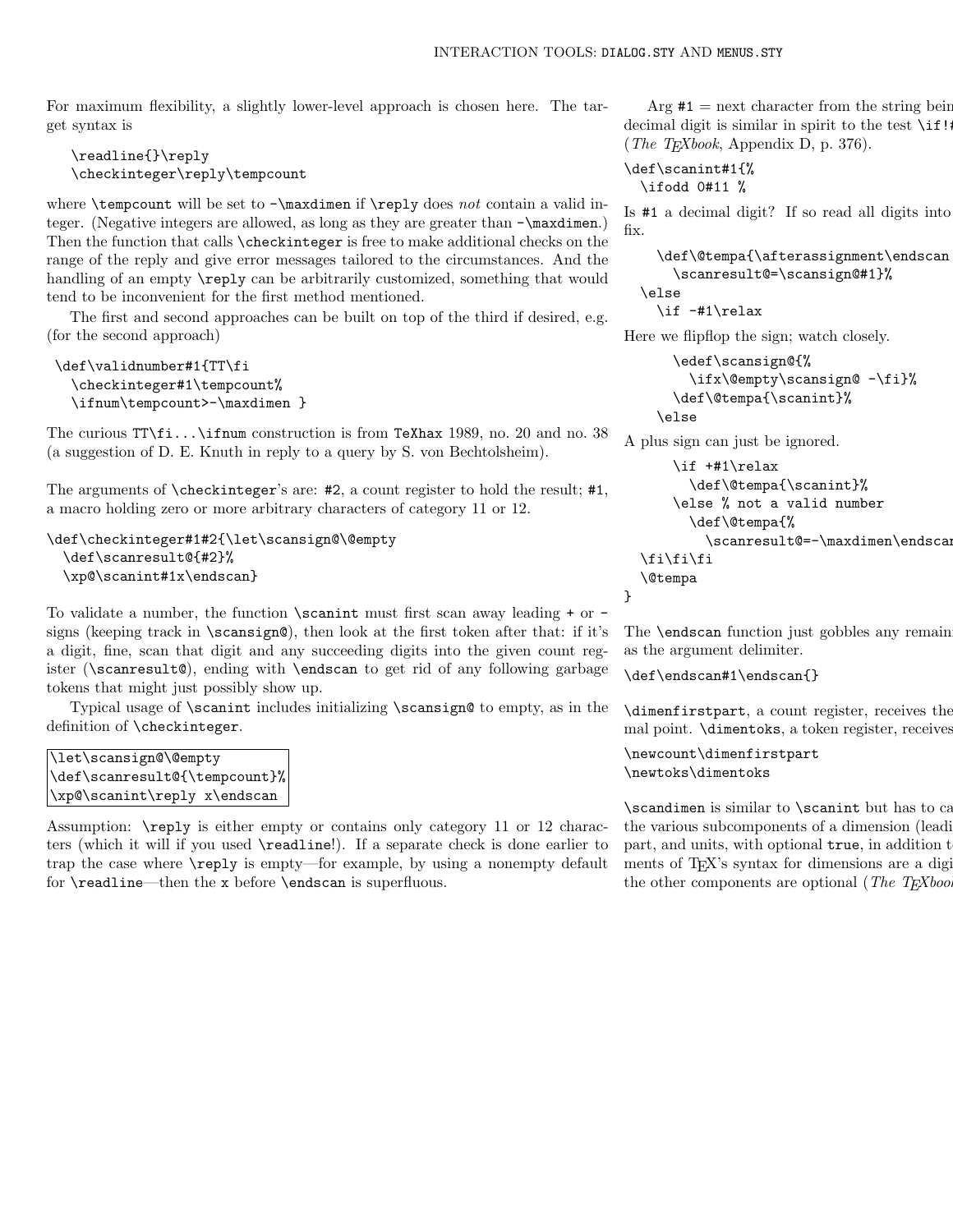For maximum flexibility, a slightly lower-level approach is chosen here. The target syntax is

\readline{}\reply \checkinteger\reply\tempcount

where  $\tempcount$  will be set to  $-\maxdim$  if  $\reply$  does not contain a valid integer. (Negative integers are allowed, as long as they are greater than -\maxdimen.) Then the function that calls \checkinteger is free to make additional checks on the range of the reply and give error messages tailored to the circumstances. And the handling of an empty  $\reply$  can be arbitrarily customized, something that would tend to be inconvenient for the first method mentioned.

The first and second approaches can be built on top of the third if desired, e.g. (for the second approach)

```
\def\validnumber#1{TT\fi
  \checkinteger#1\tempcount%
  \ifnum\tempcount>-\maxdimen }
```
The curious TT\fi...\ifnum construction is from TeXhax 1989, no. 20 and no. 38 (a suggestion of D. E. Knuth in reply to a query by S. von Bechtolsheim).

The arguments of \checkinteger's are: #2, a count register to hold the result; #1, a macro holding zero or more arbitrary characters of category 11 or 12.

```
\def\checkinteger#1#2{\let\scansign@\@empty
  \def\scanresult@{#2}%
  \xp@\scanint#1x\endscan}
```
To validate a number, the function  $\s$ canint must first scan away leading  $+$  or  $$ signs (keeping track in  $\sc$  scansign@), then look at the first token after that: if it's a digit, fine, scan that digit and any succeeding digits into the given count register (\scanresult@), ending with \endscan to get rid of any following garbage tokens that might just possibly show up.

Typical usage of \scanint includes initializing \scansign@ to empty, as in the definition of \checkinteger.

```
\let\scansign@\@empty
\def\scanresult@{\tempcount}%
\xp@\scanint\reply x\endscan
```
Assumption: \reply is either empty or contains only category 11 or 12 characters (which it will if you used \readline!). If a separate check is done earlier to trap the case where \reply is empty—for example, by using a nonempty default for \readline—then the x before \endscan is superfluous.

Arg  $#1$  = next character from the string being decimal digit is similar in spirit to the test  $\iota$  if! (*The T<sub>E</sub>Xbook*, Appendix D, p. 376).

\def\scanint#1{% \ifodd 0#11 %

Is  $\#1$  a decimal digit? If so read all digits into fix.

```
\def\@tempa{\afterassignment\endscan
    \scanresult@=\scansign@#1}%
\else
  \if -#1\relax
```
Here we flipflop the sign; watch closely.

```
\edef\scansign@{%
    \ifx\@empty\scansign@ -\fi}%
  \def\@tempa{\scanint}%
\else
```
A plus sign can just be ignored.

```
\if +#1\relax
      \def\@tempa{\scanint}%
    \else % not a valid number
      \def\@tempa{%
        \scanresult@=-\maxdimen\endscan}%
\fi\fi\fi
\@tempa
```
The **\endscan** function just gobbles any remain as the argument delimiter.

\def\endscan#1\endscan{}

}

 $\dim$ enfirstpart, a count register, receives the mal point. **\dimentoks**, a token register, receives

\newcount\dimenfirstpart \newtoks\dimentoks

 $\s$ candimen is similar to  $\s$ canint but has to call some auxiliary functions to  $\simeq$ the various subcomponents of a dimension (leading digitar) diagram of  $\alpha$ part, and units, with optional true, in addition to ments of TEX's syntax for dimensions are a digitirial point + the units; all the units; all the units; all the units; all the units; all the units; all the units; all the units; all the units; all the units; all the units; the other components are optional (The  $T_{E}Xbo$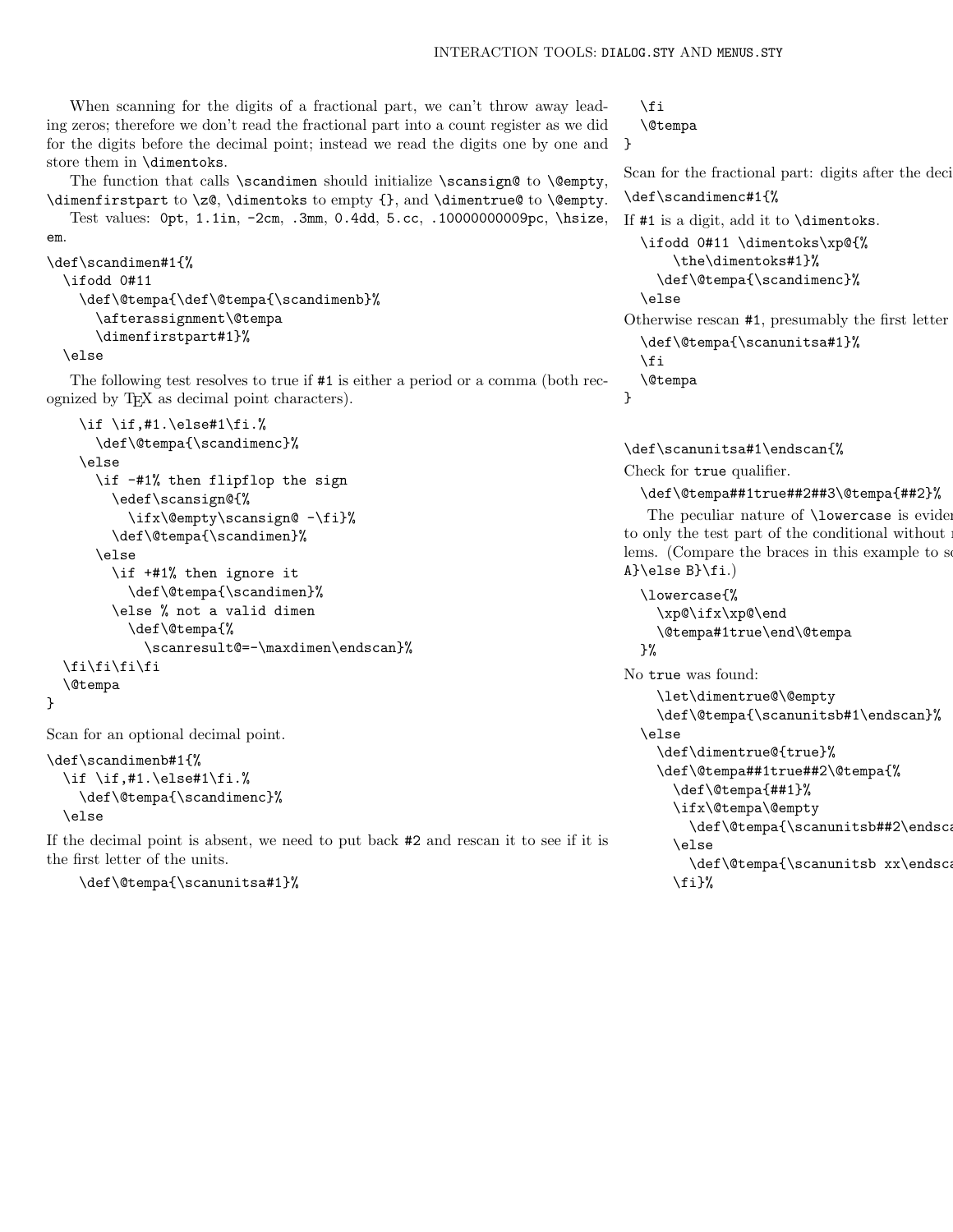When scanning for the digits of a fractional part, we can't throw away leading zeros; therefore we don't read the fractional part into a count register as we did for the digits before the decimal point; instead we read the digits one by one and store them in \dimentoks.

The function that calls  $\sc$  andimen should initialize  $\sc$  ansign@ to  $\@>$   $\@>$ \dimenfirstpart to \z@, \dimentoks to empty {}, and \dimentrue@ to \@empty. Test values: 0pt, 1.1in, -2cm, .3mm, 0.4dd, 5.cc, .10000000009pc, \hsize,

#### em.

}

```
\def\scandimen#1{%
 \ifodd 0#11
    \def\@tempa{\def\@tempa{\scandimenb}%
      \afterassignment\@tempa
      \dimenfirstpart#1}%
  \else
```
The following test resolves to true if #1 is either a period or a comma (both recognized by TEX as decimal point characters).

```
\if \if,#1.\else#1\fi.%
    \def\@tempa{\scandimenc}%
  \else
    \if -#1% then flipflop the sign
      \edef\scansign@{%
        \ifx\@empty\scansign@ -\fi}%
      \def\@tempa{\scandimen}%
    \else
      \if +#1% then ignore it
        \def\@tempa{\scandimen}%
      \else % not a valid dimen
        \def\@tempa{%
          \scanresult@=-\maxdimen\endscan}%
\fi\fi\fi\fi
\@tempa
```
Scan for an optional decimal point.

```
\def\scandimenb#1{%
  \if \if,#1.\else#1\fi.%
    \def\@tempa{\scandimenc}%
  \else
```
If the decimal point is absent, we need to put back #2 and rescan it to see if it is the first letter of the units.

\def\@tempa{\scanunitsa#1}%

```
\fi
```
\@tempa }

Scan for the fractional part: digits after the deci-

```
\def\scandimenc#1{%
```

```
If #1 is a digit, add it to \dimentoks.
  \ifodd 0#11 \dimentoks\xp@{%
       \the\dimentoks#1}%
    \def\@tempa{\scandimenc}%
  \else
Otherwise rescan #1, presumably the first letter
  \def\@tempa{\scanunitsa#1}%
  \fi
  \@tempa
}
```
\def\scanunitsa#1\endscan{% Check for true qualifier.

## \def\@tempa##1true##2##3\@tempa{##2}%

The peculiar nature of  $\lambda$ lowercase is evident here as  $\alpha$ to only the test part of the conditional without  $\mathbf r$ lems. (Compare the braces in this example to see A}\else B}\fi.)

```
\lowercase{%
  \xp@\ifx\xp@\end
  \@tempa#1true\end\@tempa
\frac{1}{2}%
```
No true was found:

```
\let\dimentrue@\@empty
  \def\@tempa{\scanunitsb#1\endscan}%
\else
  \def\dimentrue@{true}%
  \def\@tempa##1true##2\@tempa{%
    \def\@tempa{##1}%
    \ifx\@tempa\@empty
      \def\@tempa{\scanunitsb##2\endscan
```
\else

```
\def\@tempa{\scanunitsb xx\endscan
\{f_i\}%
```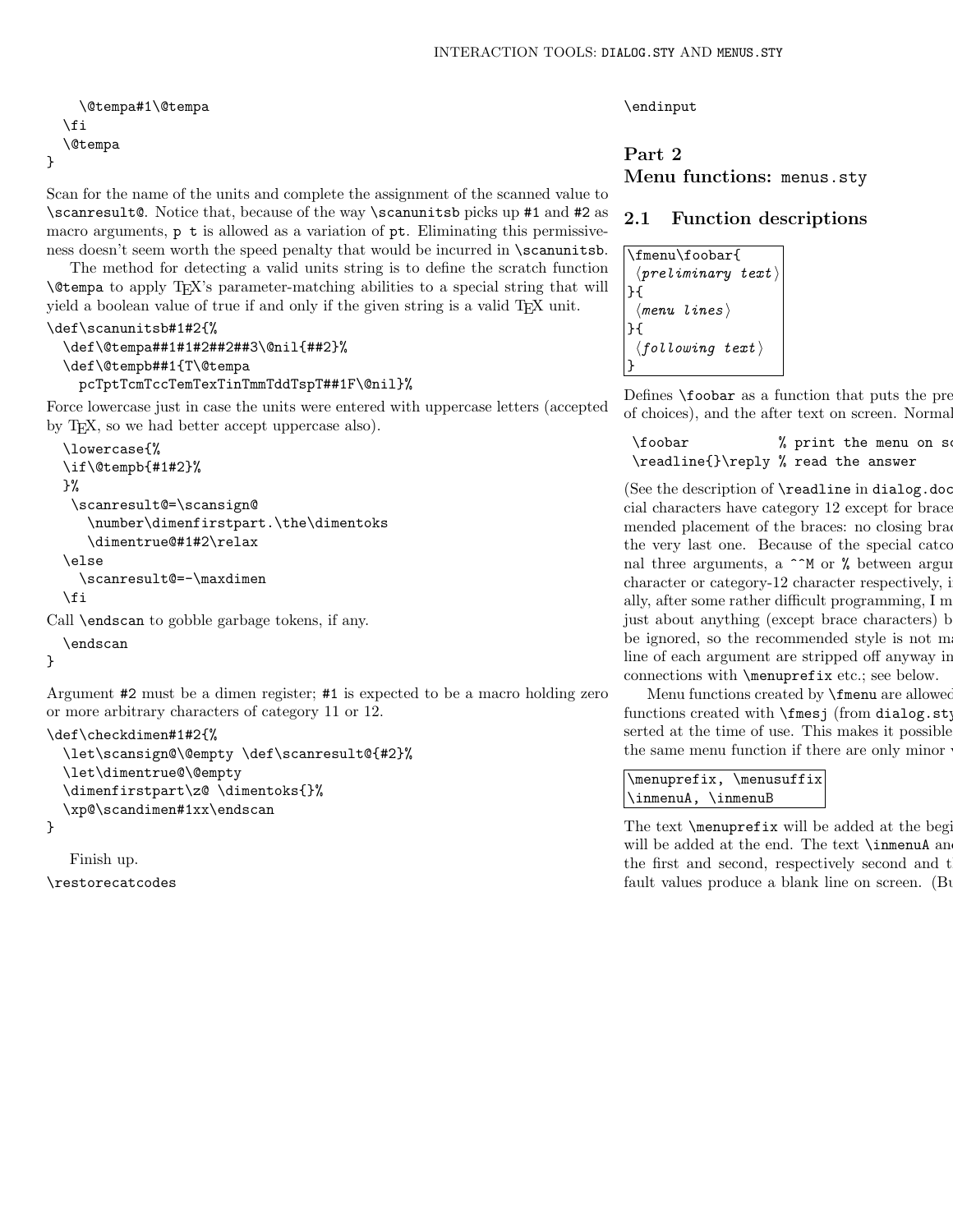```
\@tempa#1\@tempa
  \fi
  \@tempa
}
```
Scan for the name of the units and complete the assignment of the scanned value to \scanresult@. Notice that, because of the way \scanunitsb picks up #1 and #2 as macro arguments,  $p \t i$  is allowed as a variation of  $pt$ . Eliminating this permissiveness doesn't seem worth the speed penalty that would be incurred in \scanunitsb.

The method for detecting a valid units string is to define the scratch function \@tempa to apply TEX's parameter-matching abilities to a special string that will yield a boolean value of true if and only if the given string is a valid TEX unit.

### \def\scanunitsb#1#2{%

```
\def\@tempa##1#1#2##2##3\@nil{##2}%
\def\@tempb##1{T\@tempa
 pcTptTcmTccTemTexTinTmmTddTspT##1F\@nil}%
```
Force lowercase just in case the units were entered with uppercase letters (accepted by T<sub>E</sub>X, so we had better accept uppercase also).

```
\lowercase{%
\if\@tempb{#1#2}%
}%
 \scanresult@=\scansign@
   \number\dimenfirstpart.\the\dimentoks
   \dimentrue@#1#2\relax
\else
  \scanresult@=-\maxdimen
\int f
```
Call \endscan to gobble garbage tokens, if any.

```
\endscan
```
}

Argument #2 must be a dimen register; #1 is expected to be a macro holding zero or more arbitrary characters of category 11 or 12.

```
\def\checkdimen#1#2{%
  \let\scansign@\@empty \def\scanresult@{#2}%
  \let\dimentrue@\@empty
  \dimenfirstpart\z@ \dimentoks{}%
  \xp@\scandimen#1xx\endscan
```
}

Finish up.

\restorecatcodes

\endinput

# Part 2 Menu functions: menus.sty

# 2.1 Function descriptions

```
\fmenu\foobar{
  \langle\textit{preliminary text}\rangle}{
  \langlemenu lines\rangle}{
  \langlefollowing text\rangle}
```
Defines  $\footnotesize{\text{footor}$  as a function that puts the pre of choices), and the after text on screen. Normal

 $\text{1}$  \foobar % print the menu on set \readline{}\reply % read the answer

(See the description of  $\readline$  in dialog.doc.) cial characters have category 12 except for brace mended placement of the braces: no closing brace factors at the end of the braces: no closing brace  $\frac{1}{\sqrt{2}}$ the very last one. Because of the special catco nal three arguments, a  $\hat{\ }$  or % between arguments  $\hat{a}$ character or category-12 character respectively,  $i$ ally, after some rather difficult programming,  $I_m$ just about anything (except brace characters) b be ignored, so the recommended style is not m line of each argument are stripped off anyway in connections with \menuprefix etc.; see below.

Menu functions created by **\fmenu** are allowed functions created with  $\frac{\frac{1}{\text{meas}}}$  (from dialog.sty) serted at the time of use. This makes it possible the same menu function if there are only minor

```
\menuprefix, \menusuffix
\inmenuA, \inmenuB
```
The text  $\forall$  menuprefix will be added at the beginning of each menuprefix will be added at the beginning of  $\exists$ will be added at the end. The text  $\infty$  and  $\infty$  will be added at the end. The text  $\infty$ the first and second, respectively second and the first and second, respectively second and t fault values produce a blank line on screen. (But  $\delta$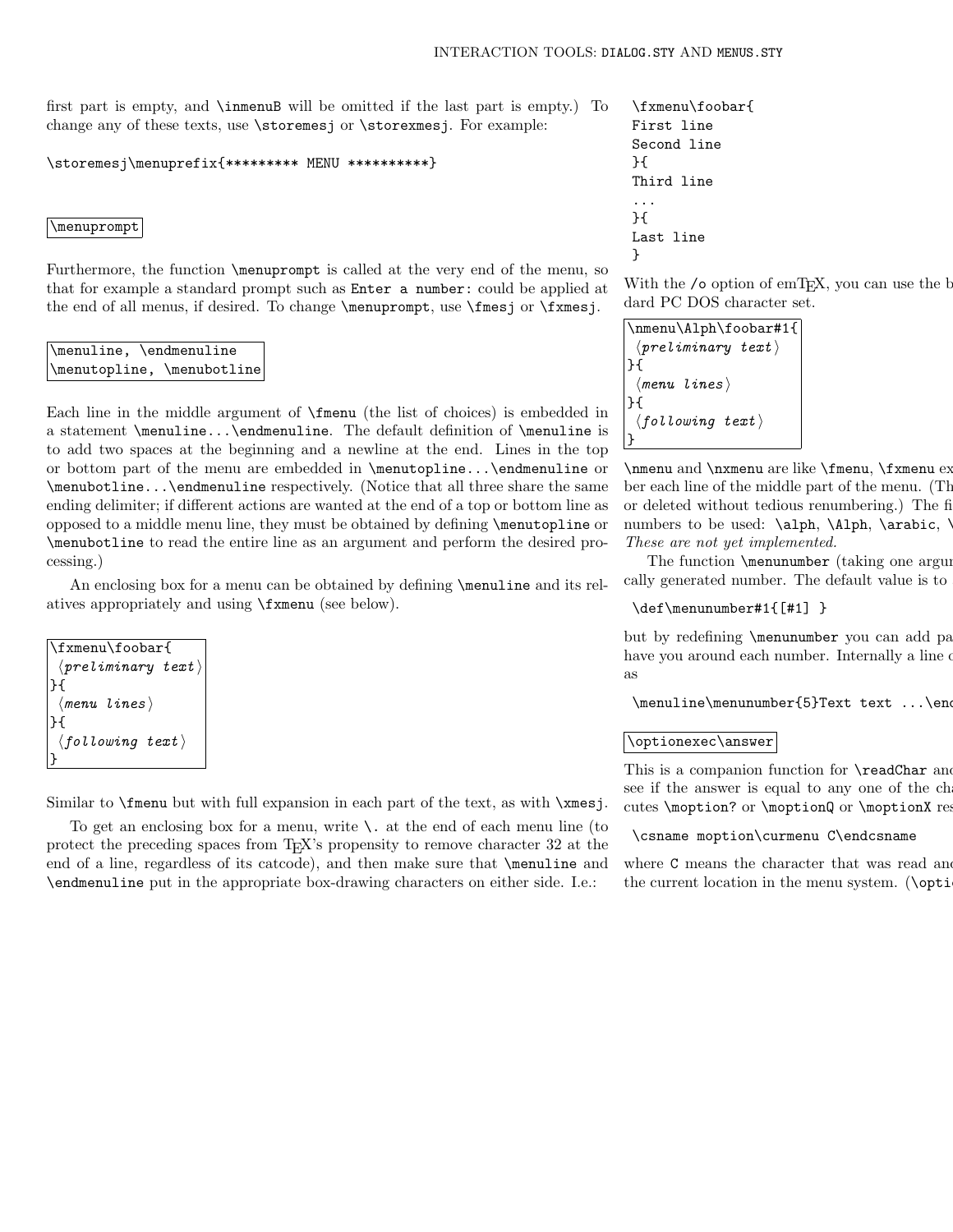first part is empty, and \inmenuB will be omitted if the last part is empty.) To change any of these texts, use \storemesj or \storexmesj. For example:

\storemesj\menuprefix{\*\*\*\*\*\*\*\*\* MENU \*\*\*\*\*\*\*\*\*\*}

#### \menuprompt

Furthermore, the function \menuprompt is called at the very end of the menu, so that for example a standard prompt such as Enter a number: could be applied at the end of all menus, if desired. To change **\menuprompt**, use **\fmes**j or **\fxmes**j.

# \menuline, \endmenuline \menutopline, \menubotline

Each line in the middle argument of \fmenu (the list of choices) is embedded in a statement \menuline...\endmenuline. The default definition of \menuline is to add two spaces at the beginning and a newline at the end. Lines in the top or bottom part of the menu are embedded in \menutopline...\endmenuline or \menubotline...\endmenuline respectively. (Notice that all three share the same ending delimiter; if different actions are wanted at the end of a top or bottom line as opposed to a middle menu line, they must be obtained by defining \menutopline or \menubotline to read the entire line as an argument and perform the desired processing.)

An enclosing box for a menu can be obtained by defining **\menuline** and its relatives appropriately and using \fxmenu (see below).

```
\fxmenu\foobar{
 \langle\textit{preliminary text}\rangle}{
 \langlemenu lines\rangle}{
 \langlefollowing text\rangle}
```
Similar to \fmenu but with full expansion in each part of the text, as with \xmesj.

To get an enclosing box for a menu, write  $\lambda$ . at the end of each menu line (to protect the preceding spaces from TEX's propensity to remove character 32 at the end of a line, regardless of its catcode), and then make sure that \menuline and \endmenuline put in the appropriate box-drawing characters on either side. I.e.:

\fxmenu\foobar{ First line \. Second line }{ Third line ... }{ Last line }

With the /o option of emT<sub>E</sub>X, you can use the  $b$ dard PC DOS character set.

```
\nmenu\Alph\foobar#1{
 \langle preliminary \text{ } text \rangle}{
  \langlemenu lines\rangle}{
  \langlefollowing text\rangle}
```
 $\n$ nmenu and  $\nx$ menu are like  $f$ menu,  $f$ xmenu ex ber each line of the middle part of the menu. (The or deleted without tedious renumbering.) The fi numbers to be used:  $\alpha$ ,  $\Lambda$ ,  $\arabic$ . These are not yet implemented.

The function  $\mbox{minumber}$  (taking one argument) cally generated number. The default value is to

#### \def\menunumber#1{[#1] }

but by redefining \menunumber you can add pa have you around each number. Internally a line of as

 $\mtext{length} \label{eq:optimal}$ 

#### \optionexec\answer

This is a companion function for **\readChar** and see if the answer is equal to any one of the ch cutes \moption? or \moptionQ or \moptionX respectively.

#### \csname moption\curmenu C\endcsname

where  $\sigma$  means the character that was read and the current location in the menu system. ( $\phi$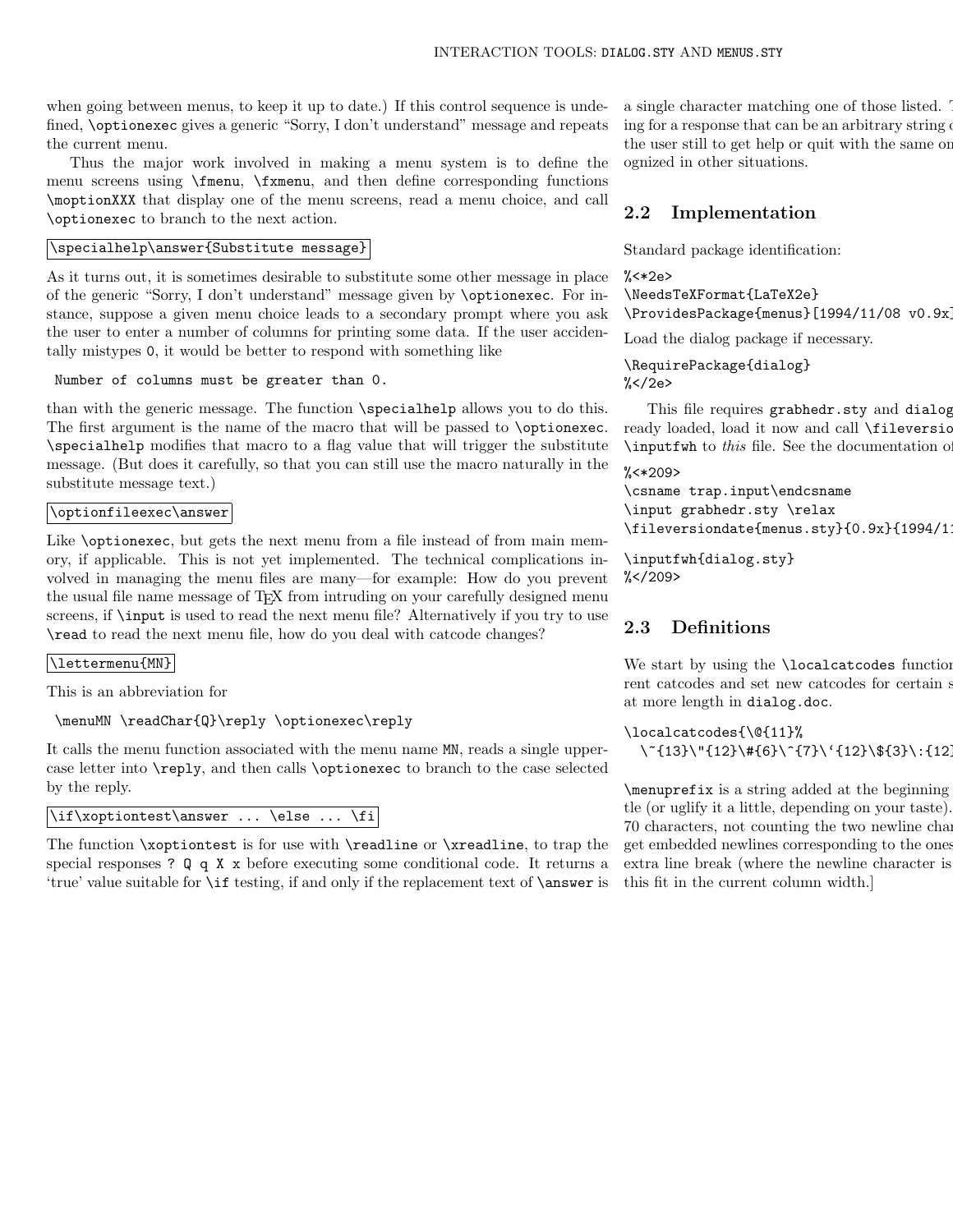when going between menus, to keep it up to date.) If this control sequence is undefined, \optionexec gives a generic "Sorry, I don't understand" message and repeats the current menu.

Thus the major work involved in making a menu system is to define the menu screens using \fmenu, \fxmenu, and then define corresponding functions \moptionXXX that display one of the menu screens, read a menu choice, and call \optionexec to branch to the next action.

## \specialhelp\answer{Substitute message}

As it turns out, it is sometimes desirable to substitute some other message in place of the generic "Sorry, I don't understand" message given by \optionexec. For instance, suppose a given menu choice leads to a secondary prompt where you ask the user to enter a number of columns for printing some data. If the user accidentally mistypes 0, it would be better to respond with something like

```
Number of columns must be greater than 0.
```
than with the generic message. The function \specialhelp allows you to do this. The first argument is the name of the macro that will be passed to \optionexec. \specialhelp modifies that macro to a flag value that will trigger the substitute message. (But does it carefully, so that you can still use the macro naturally in the substitute message text.)

# \optionfileexec\answer

Like \optionexec, but gets the next menu from a file instead of from main memory, if applicable. This is not yet implemented. The technical complications involved in managing the menu files are many—for example: How do you prevent the usual file name message of TEX from intruding on your carefully designed menu screens, if \input is used to read the next menu file? Alternatively if you try to use \read to read the next menu file, how do you deal with catcode changes?

#### \lettermenu{MN}

This is an abbreviation for

\menuMN \readChar{Q}\reply \optionexec\reply

It calls the menu function associated with the menu name MN, reads a single uppercase letter into \reply, and then calls \optionexec to branch to the case selected by the reply.

```
\if\xoptiontest\answer ... \else ... \fi
```
The function \xoptiontest is for use with \readline or \xreadline, to trap the special responses ? Q q X x before executing some conditional code. It returns a 'true' value suitable for \if testing, if and only if the replacement text of \answer is a single character matching one of those listed. This is used when  $\alpha$ ing for a response that can be an arbitrary string of the user still to get help or quit with the same oneognized in other situations.

# 2.2 Implementation

Standard package identification:

```
% <*2e\NeedsTeXFormat{LaTeX2e}
```
\ProvidesPackage{menus}[1994/11/08 v0.9x]

Load the dialog package if necessary.

\RequirePackage{dialog}  $\frac{\%}{\%}$  /2e>

This file requires grabhedr.sty and dialog ready loaded, load it now and call **\fileversic**  $\infty$  this file. See the documentation of  $\infty$ 

```
%<*209>
\csname trap.input\endcsname
\input grabhedr.sty \relax
\fileversiondate{menus.sty}{0.9x}{1994/1
```
\inputfwh{dialog.sty}  $\frac{\%}{\ }$  </209>

# 2.3 Definitions

We start by using the **\localcatcodes** function rent catcodes and set new catcodes for certain  $s$ at more length in dialog.doc.

```
\localcatcodes{\@{11}%
  \~{13}\"{12}\#{6}\^{7}\'{12}\${3}\:{12}}
```
 $\mbox{\texttt{menuprefix}}$  is a string added at the beginning tle (or uglify it a little, depending on your taste). 70 characters, not counting the two newline characters. get embedded newlines corresponding to the ones extra line break (where the newline character is this fit in the current column width.]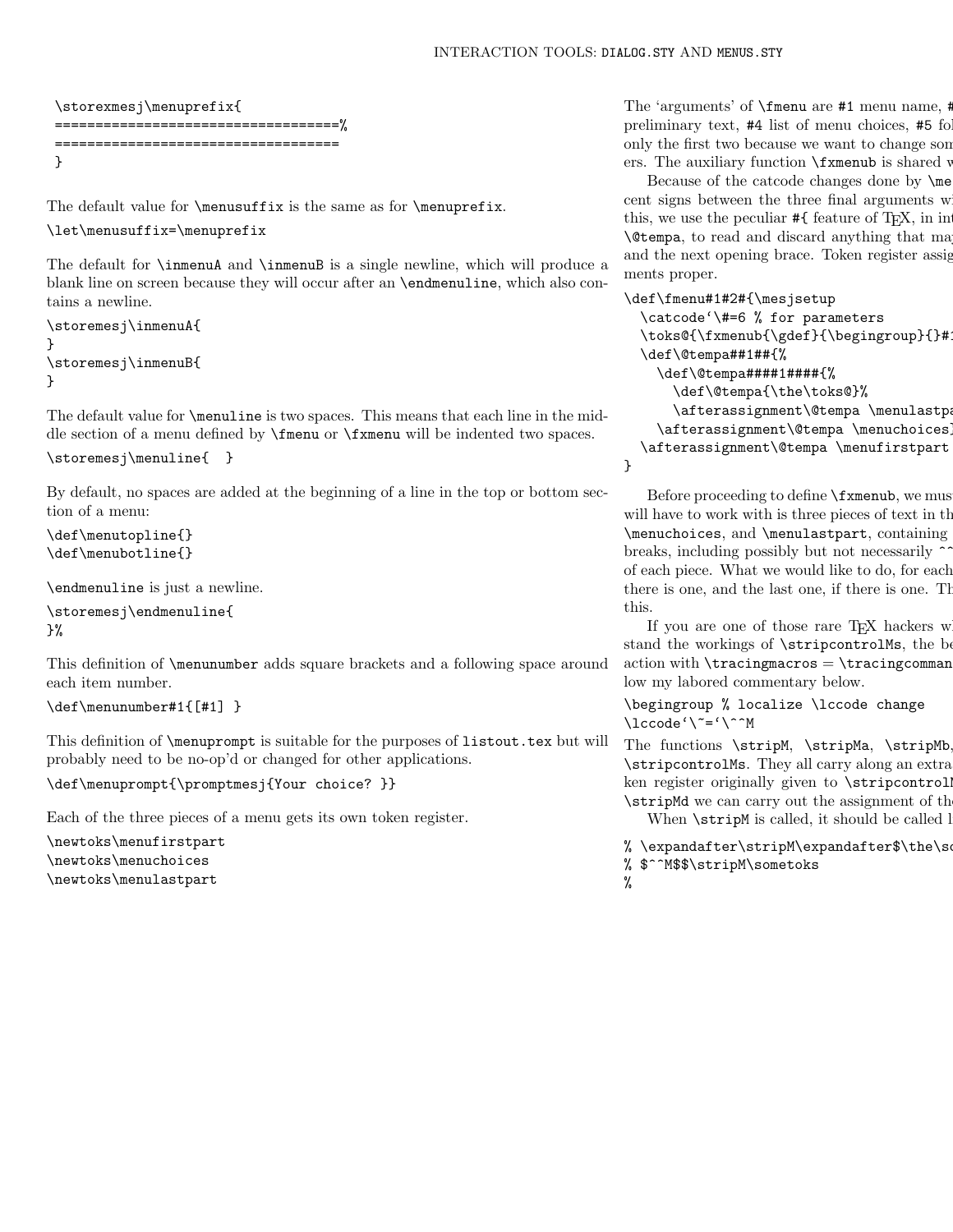}

```
\storexmesj\menuprefix{
===================================%
===================================
}
```
The default value for  $\menusuffix$  is the same as for  $\menuprefix$ .

## \let\menusuffix=\menuprefix

The default for \inmenuA and \inmenuB is a single newline, which will produce a blank line on screen because they will occur after an \endmenuline, which also contains a newline.

```
\storemesj\inmenuA{
}
\storemesj\inmenuB{
}
```
The default value for \menuline is two spaces. This means that each line in the middle section of a menu defined by \fmenu or \fxmenu will be indented two spaces.

```
\storemesj\menuline{ }
```
By default, no spaces are added at the beginning of a line in the top or bottom section of a menu:

```
\def\menutopline{}
\def\menubotline{}
```
\endmenuline is just a newline.

```
\storemesj\endmenuline{
}%
```
This definition of \menunumber adds square brackets and a following space around each item number.

```
\def\menunumber#1{[#1] }
```
This definition of \menuprompt is suitable for the purposes of listout.tex but will probably need to be no-op'd or changed for other applications.

\def\menuprompt{\promptmesj{Your choice? }}

Each of the three pieces of a menu gets its own token register.

\newtoks\menufirstpart \newtoks\menuchoices \newtoks\menulastpart

The 'arguments' of  $\mathcal{F}$  are #1 menu name, # preliminary text,  $#4$  list of menu choices,  $#5$  fo only the first two because we want to change son ers. The auxiliary function  $\frac{x}{m}$  is shared w

Because of the catcode changes done by  $\langle n \rangle$ cent signs between the three final arguments w this, we use the peculiar  $\#$  feature of T<sub>E</sub>X, in in  $\text{Uetempa}$ , to read and discard anything that ma and the next opening brace. Token register assig ments proper.

```
\def\fmenu#1#2#{\mesjsetup
```

```
\catcode'\#=6 % for parameters
\toks@{\fxmenub{\gdef}{\begingroup}{}#
\def\@tempa##1##{%
  \def\@tempa####1####{%
    \def\@tempa{\the\toks@}%
    \afterassignment\@tempa \menulastpa
  \afterassignment\@tempa \menuchoices
\afterassignment\@tempa \menufirstpart
```
Before proceeding to define  $\frac{r}{x}$  menub, we must will have to work with is three pieces of text in  $th$  $\mathcal X$ , and  $\mathcal X$ renulastpart, containing breaks, including possibly but not necessarily  $\sim$ of each piece. What we would like to do, for each there is one, and the last one, if there is one. The function  $\mathbf f$ this.

If you are one of those rare  $T_{E}X$  hackers w stand the workings of \stripcontrolMs, the best way is probably to watch it in action with  $\tau$  is a  $\tau$  is  $\tau$  attempt to  $\tau$  attempt to  $\tau$  attempt to  $\tau$ low my labored commentary below.

\begingroup % localize \lccode change \lccode'\~='\^^M

The functions \stripM, \stripMa, \stripMb \stripcontrolMs. They all carry along an extra ken register originally given to  $\strut \text{suripcontrol}$ \stripMd we can carry out the assignment of the When  $\text{stringM}$  is called, it should be called l

```
% \expandafter\stripM\expandafter$\the\som
% $^^M$$\stripM\sometoks
%
```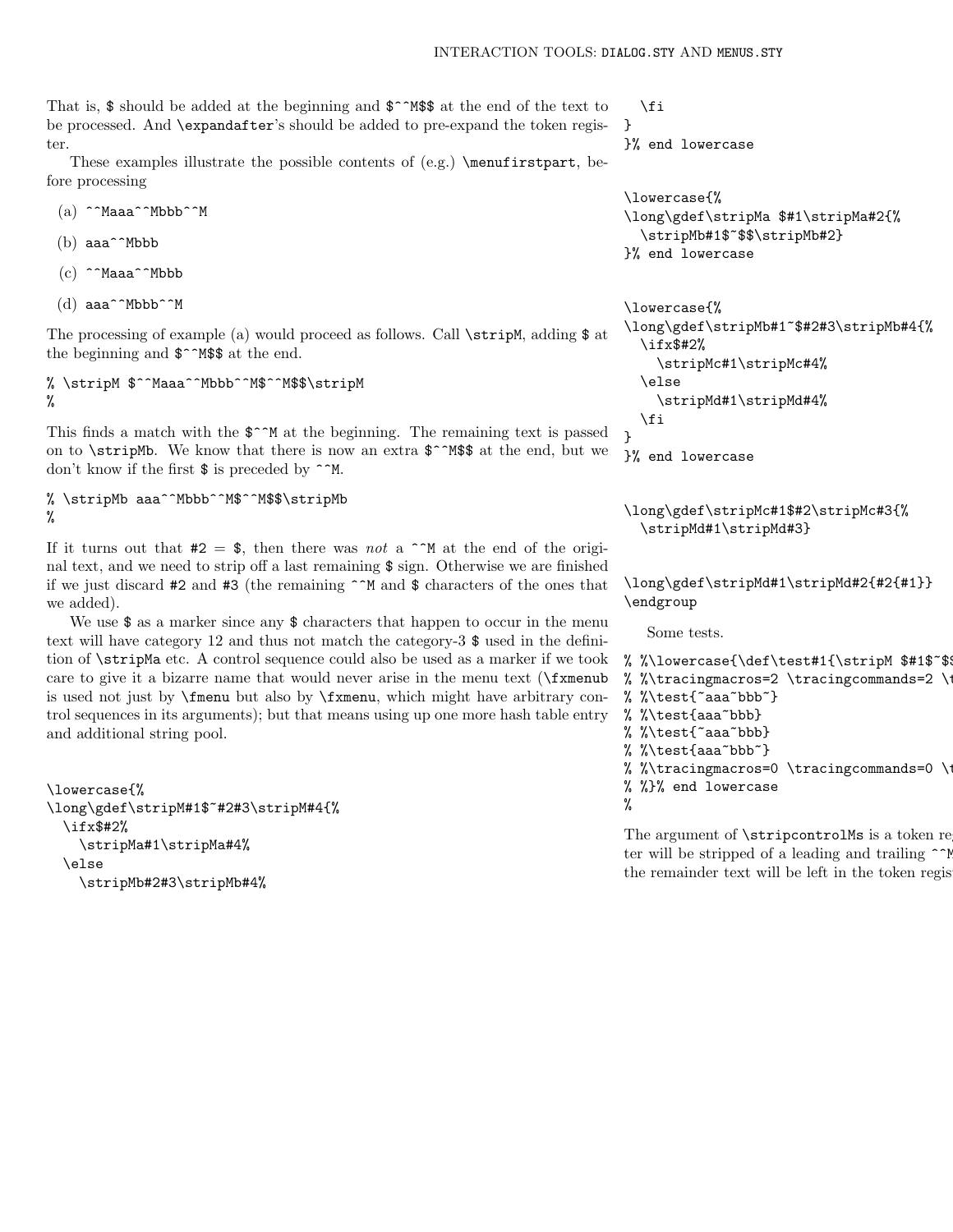That is, \$ should be added at the beginning and \$^^M\$\$ at the end of the text to be processed. And \expandafter's should be added to pre-expand the token register.

These examples illustrate the possible contents of (e.g.) \menufirstpart, before processing

- (a) ^^Maaa^^Mbbb^^M
- (b) aaa^^Mbbb
- $(c)$  ^^Maaa^^Mbbb
- $(d)$  aaa^^Mbbb^^M

The processing of example (a) would proceed as follows. Call \stripM, adding \$ at the beginning and  $\frac{2}{3}$  MSS at the end.

% \stripM \$^^Maaa^^Mbbb^^M\$^^M\$\$\stripM %

This finds a match with the  $\hat{S}^{\sim}M$  at the beginning. The remaining text is passed on to  $\strut$  \stripMb. We know that there is now an extra  $\frac{\pi^*M\$ {3}}{\pi^\*M\} at the end, but we don't know if the first  $\frac{1}{2}$  is preceded by  $\hat{}$   $\hat{}$ M.

% \stripMb aaa^^Mbbb^^M\$^^M\$\$\stripMb %

If it turns out that  $\#2 = \$ , then there was not a  $\hat{M}$  at the end of the original text, and we need to strip off a last remaining \$ sign. Otherwise we are finished if we just discard #2 and #3 (the remaining ^^M and \$ characters of the ones that we added).

We use  $\$ as a marker since any  $\$  characters that happen to occur in the menu text will have category 12 and thus not match the category-3 \$ used in the definition of \stripMa etc. A control sequence could also be used as a marker if we took care to give it a bizarre name that would never arise in the menu text (\fxmenub is used not just by \fmenu but also by \fxmenu, which might have arbitrary control sequences in its arguments); but that means using up one more hash table entry and additional string pool.

```
\lowercase{%
\long\gdef\stripM#1$~#2#3\stripM#4{%
  \ifx$#2%
    \stripMa#1\stripMa#4%
  \else
    \stripMb#2#3\stripMb#4%
```
\fi } }% end lowercase

```
\lowercase{%
\long\gdef\stripMa $#1\stripMa#2{%
  \stripMb#1$~$$\stripMb#2}
}% end lowercase
```

```
\lowercase{%
\long\gdef\stripMb#1~$#2#3\stripMb#4{%
  \ifx$#2%
    \stripMc#1\stripMc#4%
  \else
    \stripMd#1\stripMd#4%
  \fi
}
}% end lowercase
```
\long\gdef\stripMc#1\$#2\stripMc#3{% \stripMd#1\stripMd#3}

```
\long\gdef\stripMd#1\stripMd#2{#2{#1}}
\endgroup
```
Some tests.

```
% %\lowercase{\def\test#1{\stripM $#1$~$$
% %\tracingmacros=2 \tracingcommands=2 \tracingonline
% %\test{"aaa"bbb"}
% %\test{aaa~bbb}
% %\test{~aaa~bbb}
% %\test{aaa~bbb~}
% %\tracingmacros=0 \tracingcommands=0 \
% %}% end lowercase
%
The argument of \strut \scriptscriptstyle\bigwedge\hspace*{-0.1cm} The argument of \strut \scriptscriptstyle\bigwedge\hspace*{-0.1cm} token register.
```
ter will be stripped of a leading and trailing  $\hat{\ }$ the remainder text will be left in the token regis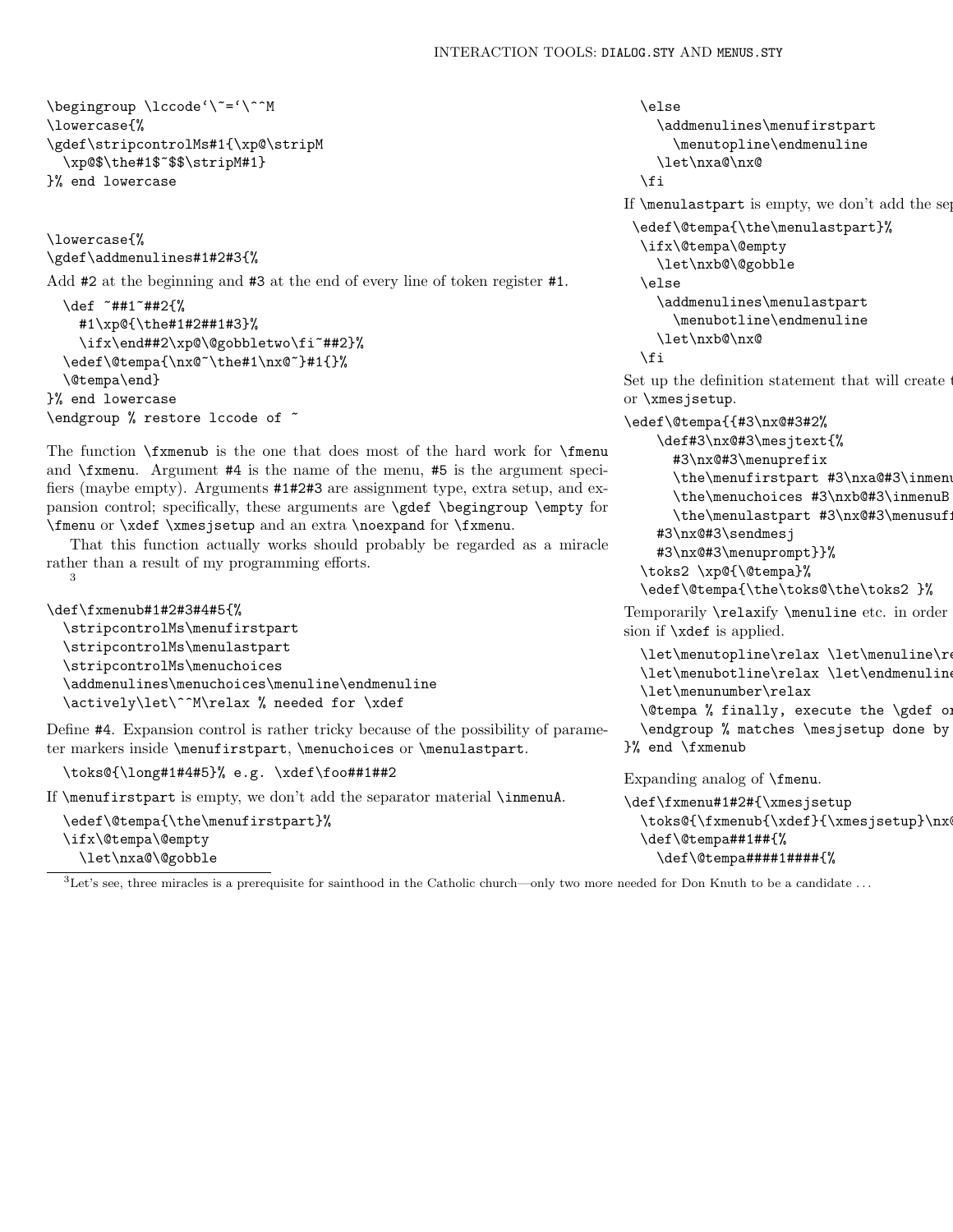```
\begingroup \lccode'\~='\^^M
\lowercase{%
\gdef\stripcontrolMs#1{\xp@\stripM
  \xp@$\the#1$~$$\stripM#1}
}% end lowercase
```

```
\lowercase{%
\gdef\addmenulines#1#2#3{%
```
3

Add #2 at the beginning and #3 at the end of every line of token register #1.

```
\def ~##1~##2{%
    #1\xp@{\the#1#2##1#3}%
    \ifx\end##2\xp@\@gobbletwo\fi~##2}%
  \edef\@tempa{\nx@~\the#1\nx@~}#1{}%
  \@tempa\end}
}% end lowercase
\endgroup % restore lccode of ~
```
The function  $\frac{r}{r}$  is the one that does most of the hard work for  $\frac{r}{r}$ and \fxmenu. Argument #4 is the name of the menu, #5 is the argument specifiers (maybe empty). Arguments #1#2#3 are assignment type, extra setup, and expansion control; specifically, these arguments are \gdef \begingroup \empty for \fmenu or \xdef \xmesjsetup and an extra \noexpand for \fxmenu.

That this function actually works should probably be regarded as a miracle rather than a result of my programming efforts.

```
\def\fxmenub#1#2#3#4#5{%
  \stripcontrolMs\menufirstpart
  \stripcontrolMs\menulastpart
  \stripcontrolMs\menuchoices
  \addmenulines\menuchoices\menuline\endmenuline
  \actively\let\^^M\relax % needed for \xdef
```
Define #4. Expansion control is rather tricky because of the possibility of parameter markers inside \menufirstpart, \menuchoices or \menulastpart.

\toks@{\long#1#4#5}% e.g. \xdef\foo##1##2

If \menufirstpart is empty, we don't add the separator material \inmenuA.

```
\edef\@tempa{\the\menufirstpart}%
\ifx\@tempa\@empty
  \let\nxa@\@gobble
```

```
\else
  \addmenulines\menufirstpart
    \menutopline\endmenuline
  \let\nxa@\nx@
\fi
```
If  $\mathrm{I}$  is empty, we don't add the separator material  $\mathrm{I}$ .

```
\edef\@tempa{\the\menulastpart}%
 \ifx\@tempa\@empty
  \let\nxb@\@gobble
\else
   \addmenulines\menulastpart
     \menubotline\endmenuline
  \let\nxb@\nx@
\fi
```
Set up the definition statement that will create  $\ddot{\phantom{a}}$ or \xmesjsetup.

```
\edef\@tempa{{#3\nx@#3#2%
    \def#3\nx@#3\mesjtext{%
      #3\nx@#3\menuprefix
      \the\menufirstpart #3\nxa@#3\inmenu
      \the\menuchoices #3\nxb@#3\inmenuB
      \the\menulastpart #3\nx@#3\menusuf;
    #3\nx@#3\sendmesj
    #3\nx@#3\menuprompt}}%
```

```
\toks2 \xp@{\@tempa}%
```

```
\edef\@tempa{\the\toks@\the\toks2 }%
```
Temporarily **\relaxify \menuline** etc. in order sion if \xdef is applied.

```
\let\menutopline\relax \let\menuline\relax
  \let\menubotline\relax \let\endmenuline
  \let\menunumber\relax
  \text{C} (dtempa % finally, execute the \qquad\end{math} % matches \mesjsetup done by
}% end \fxmenub
```
Expanding analog of \fmenu.

```
\def\fxmenu#1#2#{\xmesjsetup
  \toks@{\fxmenub{\xdef}{\xmesjsetup}\nx
  \def\@tempa##1##{%
    \def\@tempa####1####{%
```
 ${}^{3}$ Let's see, three miracles is a prerequisite for sainthood in the Catholic church—only two more needed for Don Knuth to be a candidate ...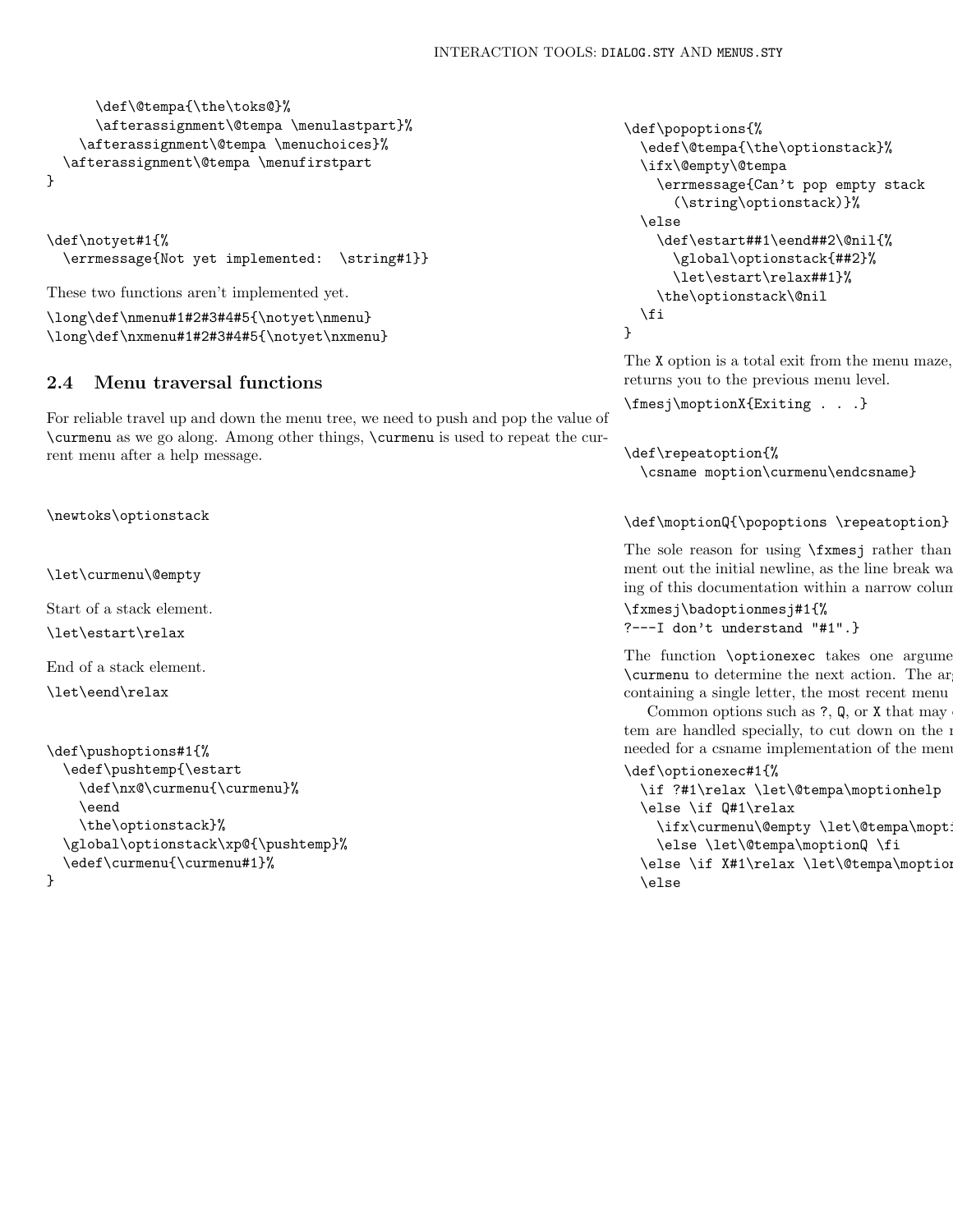```
\def\@tempa{\the\toks@}%
      \afterassignment\@tempa \menulastpart}%
    \afterassignment\@tempa \menuchoices}%
  \afterassignment\@tempa \menufirstpart
}
```

```
\def\notyet#1{%
  \errmessage{Not yet implemented: \string#1}}
```
These two functions aren't implemented yet.

\long\def\nmenu#1#2#3#4#5{\notyet\nmenu} \long\def\nxmenu#1#2#3#4#5{\notyet\nxmenu}

# 2.4 Menu traversal functions

For reliable travel up and down the menu tree, we need to push and pop the value of \curmenu as we go along. Among other things, \curmenu is used to repeat the current menu after a help message.

\newtoks\optionstack

\let\curmenu\@empty

Start of a stack element.

\let\estart\relax

End of a stack element.

\let\eend\relax

```
\def\pushoptions#1{%
  \edef\pushtemp{\estart
    \def\nx@\curmenu{\curmenu}%
    \eend
    \the\optionstack}%
  \global\optionstack\xp@{\pushtemp}%
  \edef\curmenu{\curmenu#1}%
}
```

```
\def\popoptions{%
  \edef\@tempa{\the\optionstack}%
  \ifx\@empty\@tempa
    \errmessage{Can't pop empty stack
      (\string\optionstack)}%
  \else
    \def\estart##1\eend##2\@nil{%
      \global\optionstack{##2}%
      \let\estart\relax##1}%
    \the\optionstack\@nil
  \fi
}
```
The  $X$  option is a total exit from the menu maze, returns you to the previous menu level.

\fmesj\moptionX{Exiting . . .}

```
\def\repeatoption{%
  \csname moption\curmenu\endcsname}
```
\def\moptionQ{\popoptions \repeatoption}

The sole reason for using  $\frac{r}{m}$  rather than ment out the initial newline, as the line break was ing of this documentation within a narrow column width.

```
\fxmesj\badoptionmesj#1{%
?---I don't understand "#1".}
```
The function **\optionexec** takes one argument \curmenu to determine the next action. The ar containing a single letter, the most recent menu

Common options such as  $?$ ,  $Q$ , or  $X$  that may tem are handled specially, to cut down on the number of control sequence names of control sequence n needed for a csname implementation of the menu

```
\def\optionexec#1{%
  \if ?#1\relax \let\@tempa\moptionhelp
 \else \if Q#1\relax
    \ifx\curmenu\@empty \let\@tempa\mopt
    \else \let\@tempa\moptionQ \fi
  \else \if X#1\relax \let\@tempa\moption
 \else
```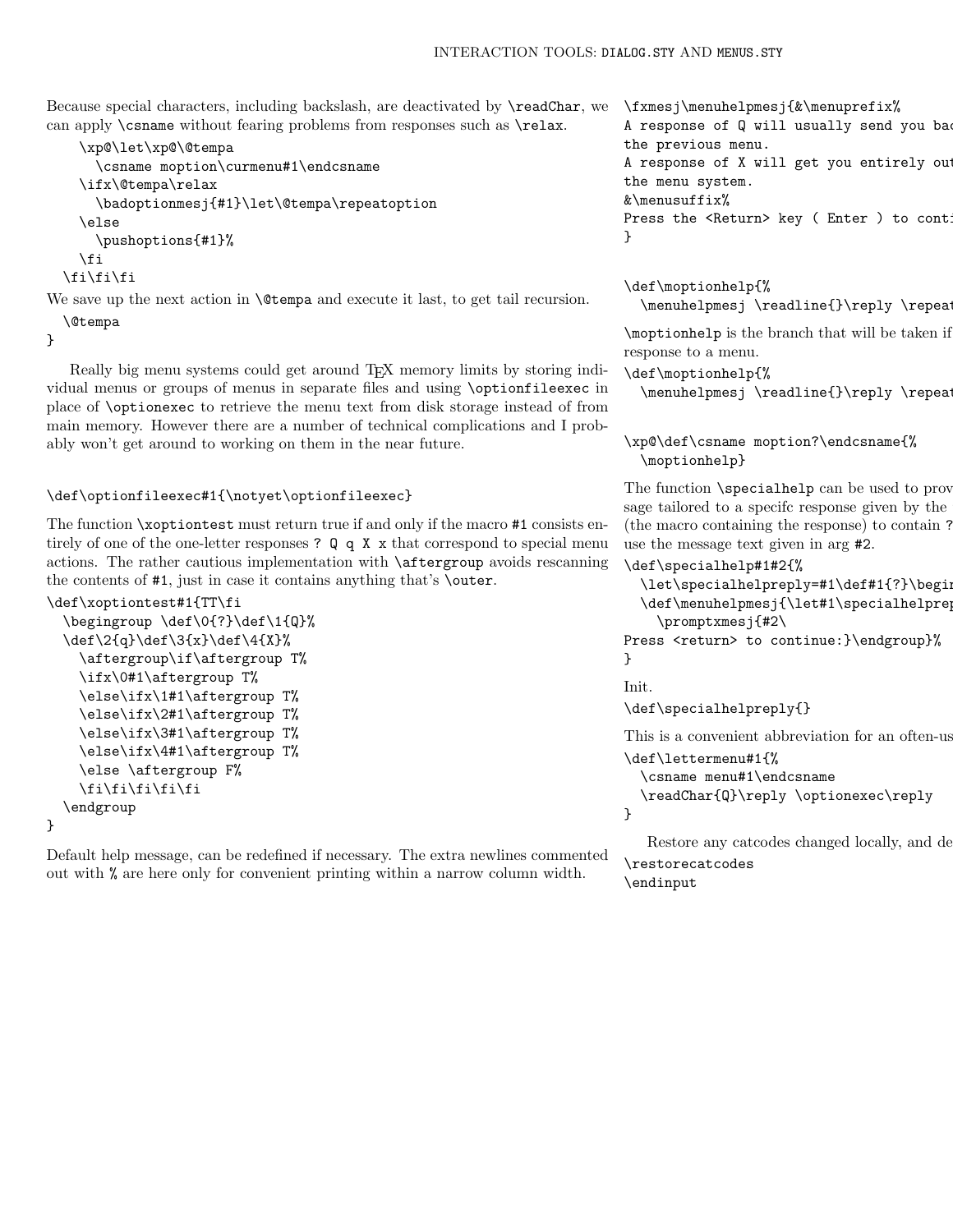Because special characters, including backslash, are deactivated by \readChar, we can apply \csname without fearing problems from responses such as \relax.

```
\xp@\let\xp@\@tempa
    \csname moption\curmenu#1\endcsname
  \ifx\@tempa\relax
    \badoptionmesj{#1}\let\@tempa\repeatoption
  \else
    \pushoptions{#1}%
 \fi
\fi\fi\fi
```
We save up the next action in **\@tempa** and execute it last, to get tail recursion. \@tempa

}

Really big menu systems could get around TEX memory limits by storing individual menus or groups of menus in separate files and using \optionfileexec in place of \optionexec to retrieve the menu text from disk storage instead of from main memory. However there are a number of technical complications and I probably won't get around to working on them in the near future.

### \def\optionfileexec#1{\notyet\optionfileexec}

The function \xoptiontest must return true if and only if the macro #1 consists entirely of one of the one-letter responses ?  $Q \notin X$  x that correspond to special menu actions. The rather cautious implementation with \aftergroup avoids rescanning the contents of #1, just in case it contains anything that's \outer.

```
\def\xoptiontest#1{TT\fi
  \begingroup \def\0{?}\def\1{Q}%
  \def\2{q}\def\3{x}\def\4{X}%
    \aftergroup\if\aftergroup T%
    \ifx\0#1\aftergroup T%
    \else\ifx\1#1\aftergroup T%
    \else\ifx\2#1\aftergroup T%
    \else\ifx\3#1\aftergroup T%
    \else\ifx\4#1\aftergroup T%
    \else \aftergroup F%
    \fi\fi\fi\fi\fi
  \endgroup
}
```
Default help message, can be redefined if necessary. The extra newlines commented out with % are here only for convenient printing within a narrow column width.

\fxmesj\menuhelpmesj{&\menuprefix% A response of Q will usually send you ba the previous menu. A response of X will get you entirely out the menu system. &\menusuffix% Press the <Return> key ( Enter ) to continue }

\def\moptionhelp{%  $\mtext{Theorem}$ 

\moptionhelp is the branch that will be taken if response to a menu.

```
\def\moptionhelp{%
```
\menuhelpmesj \readline{}\reply \repeatoption

\xp@\def\csname moption?\endcsname{% \moptionhelp}

The function  $\simeq$  specialhelp can be used to prov sage tailored to a specific response given by the (the macro containing the response) to contain  $\mathfrak k$ use the message text given in arg #2.

```
\def\specialhelp#1#2{%
  \let\specialhelpreply=#1\def#1{?}\beging
 \def\menuhelpmesj{\let#1\specialhelpreply
    \promptxmesj{#2\
```
Press <return> to continue: }\endgroup}% }

Init.

\def\specialhelpreply{}

```
This is a convenient abbreviation for an often-us
\def\lettermenu#1{%
  \csname menu#1\endcsname
  \readChar{Q}\reply \optionexec\reply
}
```

```
Restore any catcodes changed locally, and depart.
\restorecatcodes
```
\endinput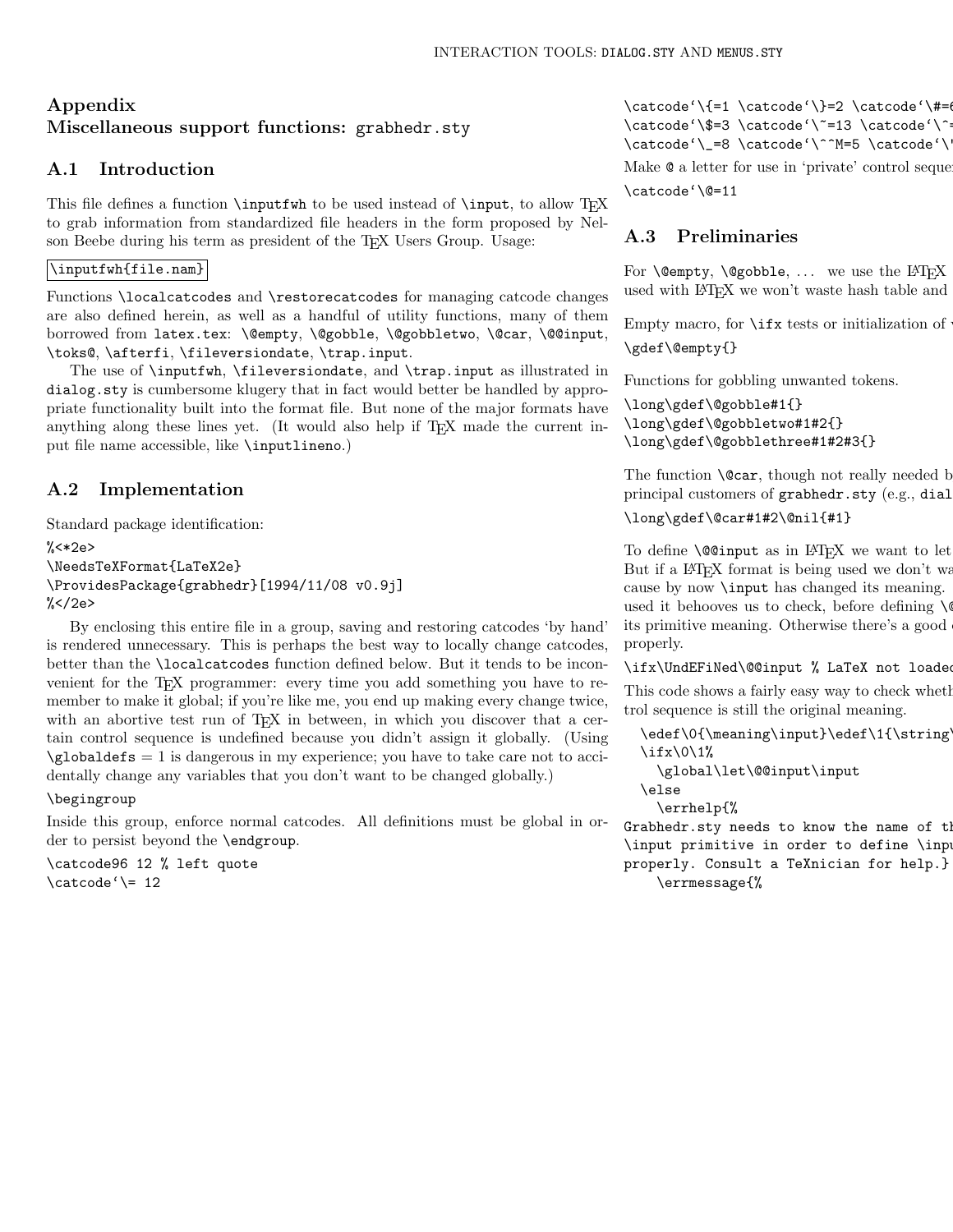# Appendix Miscellaneous support functions: grabhedr.sty

# A.1 Introduction

This file defines a function  $\infty$  to be used instead of  $\infty$  TEX to grab information from standardized file headers in the form proposed by Nelson Beebe during his term as president of the T<sub>E</sub>X Users Group. Usage:

## \inputfwh{file.nam}

Functions \localcatcodes and \restorecatcodes for managing catcode changes are also defined herein, as well as a handful of utility functions, many of them borrowed from latex.tex: \@empty, \@gobble, \@gobbletwo, \@car, \@@input, \toks@, \afterfi, \fileversiondate, \trap.input.

The use of \inputfwh, \fileversiondate, and \trap.input as illustrated in dialog.sty is cumbersome klugery that in fact would better be handled by appropriate functionality built into the format file. But none of the major formats have anything along these lines yet. (It would also help if T<sub>E</sub>X made the current input file name accessible, like \inputlineno.)

# A.2 Implementation

Standard package identification:

 $% <*2e$ \NeedsTeXFormat{LaTeX2e} \ProvidesPackage{grabhedr}[1994/11/08 v0.9j]  $\frac{\%}{\ }$  /2e>

By enclosing this entire file in a group, saving and restoring catcodes 'by hand' is rendered unnecessary. This is perhaps the best way to locally change catcodes, better than the \localcatcodes function defined below. But it tends to be inconvenient for the TEX programmer: every time you add something you have to remember to make it global; if you're like me, you end up making every change twice, with an abortive test run of T<sub>E</sub>X in between, in which you discover that a certain control sequence is undefined because you didn't assign it globally. (Using  $\qquad$ obaldefs = 1 is dangerous in my experience; you have to take care not to accidentally change any variables that you don't want to be changed globally.)

## \begingroup

Inside this group, enforce normal catcodes. All definitions must be global in order to persist beyond the \endgroup.

\catcode96 12 % left quote  $\text{catcode'} = 12$ 

 $\text{check}(\t{=1} \cdot \t{=0$ \catcode'\\$=3 \catcode'\~=13 \catcode'\^=  $\label{c} $$ \catcode' \_=8 \catcode' \^M=5 \catcode' \$ Make  $\mathcal Q$  a letter for use in 'private' control sequences. \catcode'\@=11

# A.3 Preliminaries

For **\@empty, \@gobble, ...** we use the  $\text{IATEX}$ used with LAT<sub>EX</sub> we won't waste hash table and

Empty macro, for  $\iota$  if x tests or initialization of \gdef\@empty{}

Functions for gobbling unwanted tokens.

```
\long\gdef\@gobble#1{}
\long\gdef\@gobbletwo#1#2{}
\long\gdef\@gobblethree#1#2#3{}
```
The function  $\text{Cear},$  though not really needed by principal customers of grabhedr.sty (e.g., dial

\long\gdef\@car#1#2\@nil{#1}

To define  $\Diamond$  Coinput as in L<sup>AT</sup>FX we want to let But if a  $\Delta E$ FX format is being used we don't wa cause by now **\input** has changed its meaning. used it behooves us to check, before defining  $\Diamond$ its primitive meaning. Otherwise there's a good properly.

\ifx\UndEFiNed\@@input % LaTeX not loaded

This code shows a fairly easy way to check whether trol sequence is still the original meaning.

\edef\0{\meaning\input}\edef\1{\string\input} \ifx\0\1%

```
\global\let\@@input\input
\else
```
\errhelp{%

Grabhedr.sty needs to know the name of th \input primitive in order to define \input properly. Consult a TeXnician for help.} \errmessage{%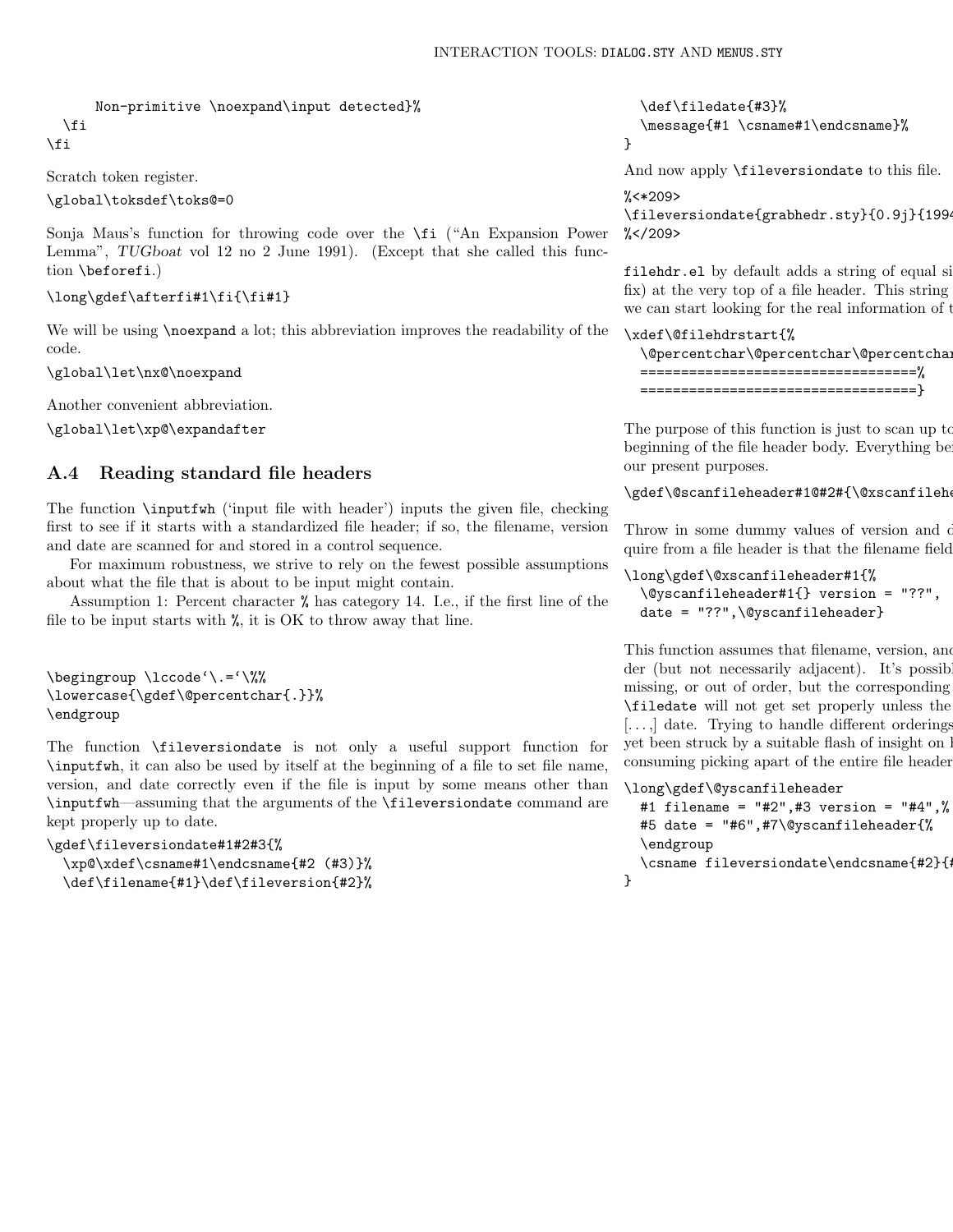```
Non-primitive \noexpand\input detected}%
  \fi
\fi
```
Scratch token register.

\global\toksdef\toks@=0

Sonja Maus's function for throwing code over the \fi ("An Expansion Power Lemma", TUGboat vol 12 no 2 June 1991). (Except that she called this function \beforefi.)

```
\long\gdef\afterfi#1\fi{\fi#1}
```
We will be using **\noexpand** a lot; this abbreviation improves the readability of the code.

\global\let\nx@\noexpand

Another convenient abbreviation.

\global\let\xp@\expandafter

# A.4 Reading standard file headers

The function \inputfwh ('input file with header') inputs the given file, checking first to see if it starts with a standardized file header; if so, the filename, version and date are scanned for and stored in a control sequence.

For maximum robustness, we strive to rely on the fewest possible assumptions about what the file that is about to be input might contain.

Assumption 1: Percent character % has category 14. I.e., if the first line of the file to be input starts with %, it is OK to throw away that line.

```
\begingroup \lccode'\.='\%%
\lowercase{\gdef\@percentchar{.}}%
\endgroup
```
The function \fileversiondate is not only a useful support function for \inputfwh, it can also be used by itself at the beginning of a file to set file name, version, and date correctly even if the file is input by some means other than \inputfwh—assuming that the arguments of the \fileversiondate command are kept properly up to date.

```
\gdef\fileversiondate#1#2#3{%
 \xp@\xdef\csname#1\endcsname{#2 (#3)}%
 \def\filename{#1}\def\fileversion{#2}%
```
\def\filedate{#3}% \message{#1 \csname#1\endcsname}% }

And now apply \fileversiondate to this file.

## $\frac{\%}{\*}$  <  $*209$ >

\fileversiondate{grabhedr.sty}{0.9j}{1994  $\frac{\%}{\ }$  </209>

filehdr.el by default adds a string of equal si fix) at the very top of a file header. This string we can start looking for the real information of the start header.

#### \xdef\@filehdrstart{%

```
\@percentchar\@percentchar\@percentchar
==================================%
==================================}
```
The purpose of this function is just to scan up to beginning of the file header body. Everything be our present purposes.

\gdef\@scanfileheader#1@#2#{\@xscanfilehe

Throw in some dummy values of version and  $\alpha$ quire from a file header is that the filename field

```
\long\gdef\@xscanfileheader#1{%
 \@yscanfileheader#1{} version = "??",
 date = "??",\@yscanfileheader}
```
This function assumes that filename, version, and  $\alpha$ der (but not necessarily adjacent). It's possib missing, or out of order, but the corresponding \filedate will not get set properly unless the  $[\dots]$  date. Trying to handle different orderings yet been struck by a suitable flash of insight on l consuming picking apart of the entire file header.

```
\long\gdef\@yscanfileheader
  #1 filename = "#2",#3 version = "#4",%
  #5 date = "#6",#7\@yscanfileheader{%
  \endgroup
  \csname fileversiondate\endcsname{#2}{
}
```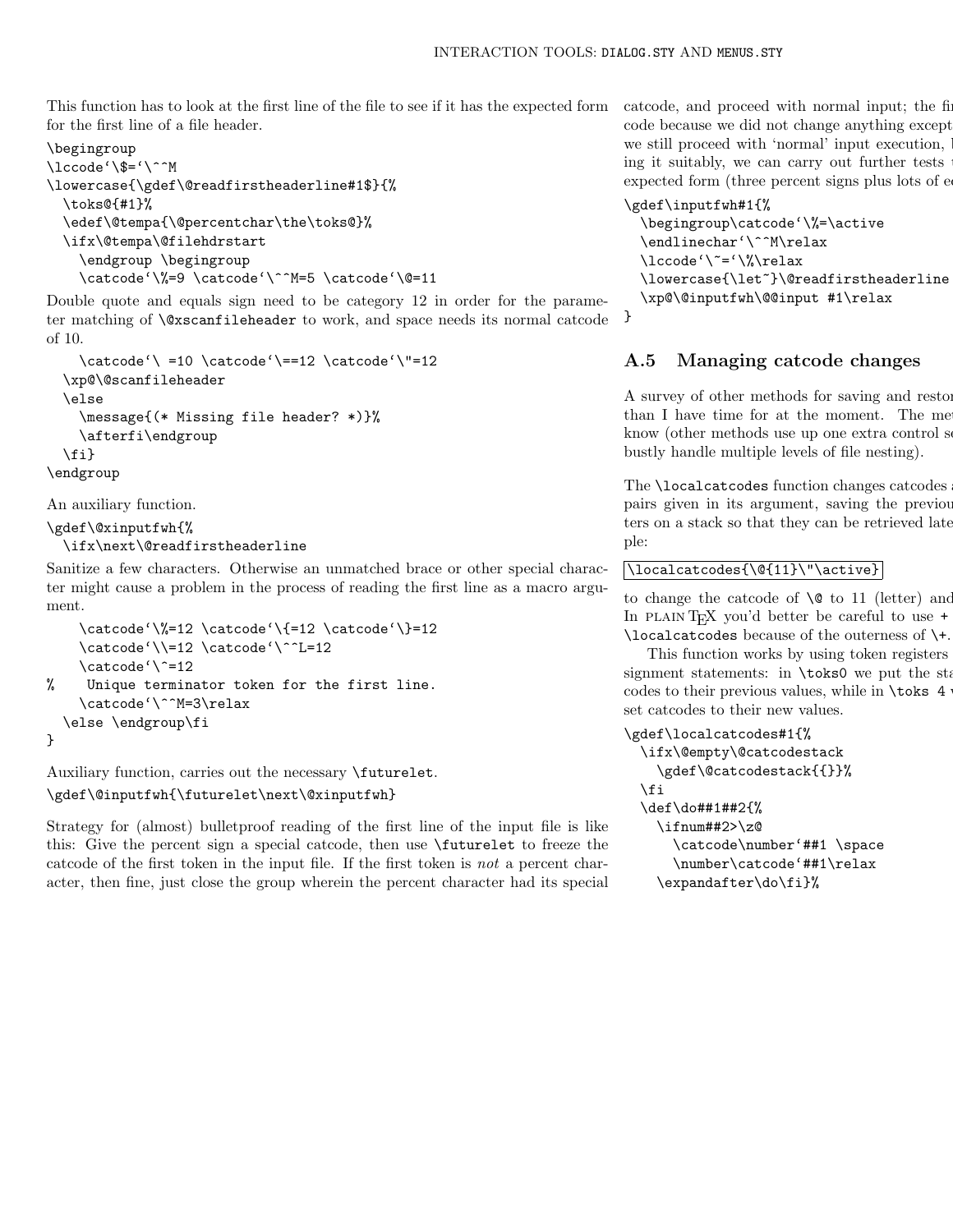This function has to look at the first line of the file to see if it has the expected form for the first line of a file header.

# \begingroup

```
\lccode'\$='\^^M
\lowercase{\gdef\@readfirstheaderline#1$}{%
  \toks@{#1}%
  \edef\@tempa{\@percentchar\the\toks@}%
  \ifx\@tempa\@filehdrstart
    \endgroup \begingroup
    \catcode'\%=9 \catcode'\^^M=5 \catcode'\@=11
```
Double quote and equals sign need to be category 12 in order for the parameter matching of \@xscanfileheader to work, and space needs its normal catcode of 10.

```
\catcode'\ =10 \catcode'\==12 \catcode'\"=12
  \xp@\@scanfileheader
  \else
    \message{(* Missing file header? *)}%
    \afterfi\endgroup
  \fi}
\endgroup
```
An auxiliary function.

```
\gdef\@xinputfwh{%
```

```
\ifx\next\@readfirstheaderline
```
Sanitize a few characters. Otherwise an unmatched brace or other special character might cause a problem in the process of reading the first line as a macro argument.

```
\catcode'\%=12 \catcode'\{=12 \catcode'\}=12
    \catcode'\\=12 \catcode'\^^L=12
    \catcode'\^=12
% Unique terminator token for the first line.
    \catcode'\^^M=3\relax
  \else \endgroup\fi
}
```
Auxiliary function, carries out the necessary \futurelet.

# \gdef\@inputfwh{\futurelet\next\@xinputfwh}

Strategy for (almost) bulletproof reading of the first line of the input file is like this: Give the percent sign a special catcode, then use \futurelet to freeze the catcode of the first token in the input file. If the first token is not a percent character, then fine, just close the group wherein the percent character had its special

catcode, and proceed with normal input; the first code because we did not change anything except we still proceed with 'normal' input execution, ing it suitably, we can carry out further tests expected form (three percent signs plus lots of e

# \gdef\inputfwh#1{%

```
\begingroup\catcode'\%=\active
\endlinechar'\^^M\relax
\lccode'\~='\%\relax
\lowercase{\let~}\@readfirstheaderline
\xp@\@inputfwh\@@input #1\relax
```

```
}
```
# A.5 Managing catcode changes

A survey of other methods for saving and restored than I have time for at the moment. The me know (other methods use up one extra control sequence name per sequence  $\mu$ bustly handle multiple levels of file nesting).

The **\localcatcodes** function changes catcodes pairs given in its argument, saving the previous ters on a stack so that they can be retrieved late ple:

# \localcatcodes{\@{11}\"\active}

to change the catcode of  $\Diamond$  to 11 (letter) and In PLAIN TEX you'd better be careful to use  $+$ \localcatcodes because of the outerness of \+.

This function works by using token registers signment statements: in  $\text{bks0 we put the sta}$ codes to their previous values, while in  $\text{toks } 4$ set catcodes to their new values.

```
\gdef\localcatcodes#1{%
  \ifx\@empty\@catcodestack
    \gdef\@catcodestack{{}}%
  \fi
  \def\do##1##2{%
    \iintnum#2>\z0\catcode\number'##1 \space
      \number\catcode'##1\relax
    \expandafter\do\fi}%
```